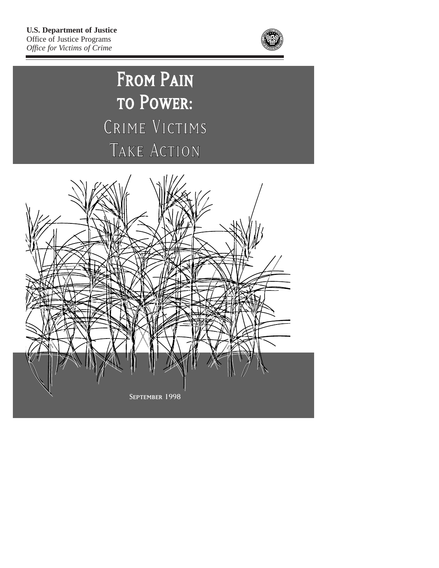

# FROM PAIN TO POWER: Crime Victims TAKE ACTION

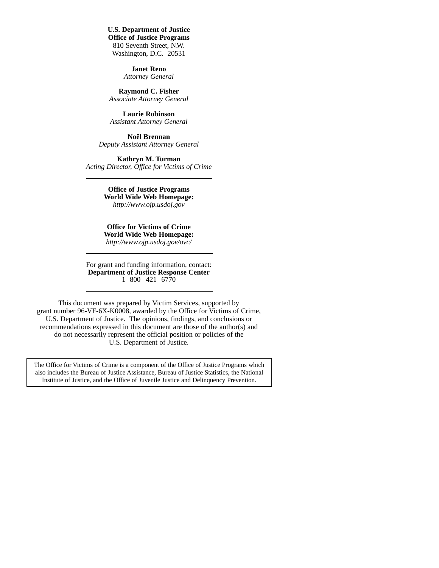**U.S. Department of Justice Office of Justice Programs** 810 Seventh Street, N.W. Washington, D.C. 20531

> **Janet Reno** *Attorney General*

**Raymond C. Fisher** *Associate Attorney General*

**Laurie Robinson** *Assistant Attorney General*

**Noël Brennan** *Deputy Assistant Attorney General*

**Kathryn M. Turman** *Acting Director, Office for Victims of Crime*

> **Office of Justice Programs World Wide Web Homepage:** *http://www.ojp.usdoj.gov*

> **Office for Victims of Crime World Wide Web Homepage:** *http://www.ojp.usdoj.gov/ovc/*

For grant and funding information, contact: **Department of Justice Response Center**  $1-800-421-6770$ 

This document was prepared by Victim Services, supported by grant number 96-VF-6X-K0008, awarded by the Office for Victims of Crime, U.S. Department of Justice. The opinions, findings, and conclusions or recommendations expressed in this document are those of the author(s) and do not necessarily represent the official position or policies of the U.S. Department of Justice.

The Office for Victims of Crime is a component of the Office of Justice Programs which also includes the Bureau of Justice Assistance, Bureau of Justice Statistics, the National Institute of Justice, and the Office of Juvenile Justice and Delinquency Prevention.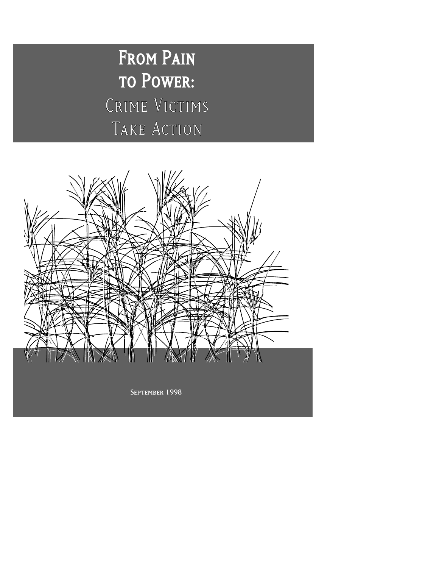From Pain<br>To Power: Crime Victims TAKE ACTION



September 1998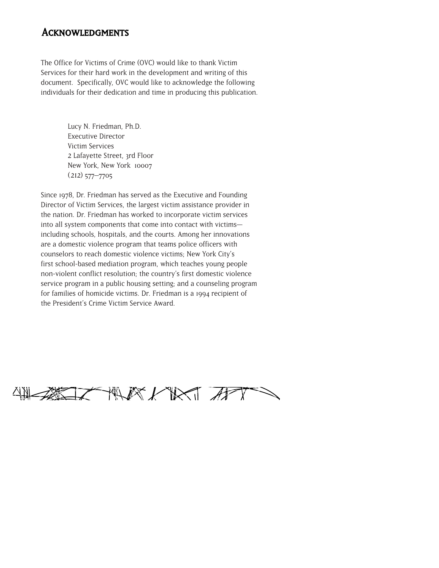# **ACKNOWLEDGMENTS**

The Office for Victims of Crime (OVC) would like to thank Victim Services for their hard work in the development and writing of this document. Specifically, OVC would like to acknowledge the following individuals for their dedication and time in producing this publication.

> Lucy N. Friedman, Ph.D. Executive Director Victim Services 2 Lafayette Street, 3rd Floor New York, New York 10007 (212) 577–7705

Since 1978, Dr. Friedman has served as the Executive and Founding Director of Victim Services, the largest victim assistance provider in the nation. Dr. Friedman has worked to incorporate victim services into all system components that come into contact with victims including schools, hospitals, and the courts. Among her innovations are a domestic violence program that teams police officers with counselors to reach domestic violence victims; New York City's first school-based mediation program, which teaches young people non-violent conflict resolution; the country's first domestic violence service program in a public housing setting; and a counseling program for families of homicide victims. Dr. Friedman is a 1994 recipient of the President's Crime Victim Service Award.

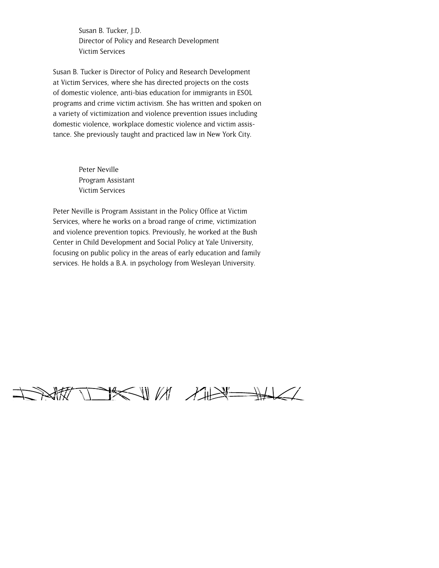Susan B. Tucker, J.D. Director of Policy and Research Development Victim Services

Susan B. Tucker is Director of Policy and Research Development at Victim Services, where she has directed projects on the costs of domestic violence, anti-bias education for immigrants in ESOL programs and crime victim activism. She has written and spoken on a variety of victimization and violence prevention issues including domestic violence, workplace domestic violence and victim assistance. She previously taught and practiced law in New York City.

> Peter Neville Program Assistant Victim Services

Peter Neville is Program Assistant in the Policy Office at Victim Services, where he works on a broad range of crime, victimization and violence prevention topics. Previously, he worked at the Bush Center in Child Development and Social Policy at Yale University, focusing on public policy in the areas of early education and family services. He holds a B.A. in psychology from Wesleyan University.

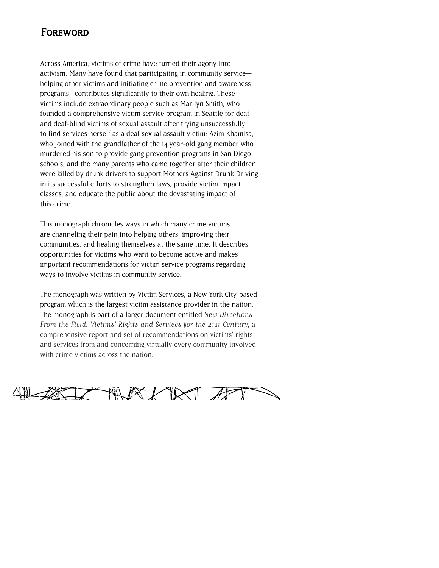# **FOREWORD**

Across America, victims of crime have turned their agony into activism. Many have found that participating in community service helping other victims and initiating crime prevention and awareness programs—contributes significantly to their own healing. These victims include extraordinary people such as Marilyn Smith, who founded a comprehensive victim service program in Seattle for deaf and deaf-blind victims of sexual assault after trying unsuccessfully to find services herself as a deaf sexual assault victim; Azim Khamisa, who joined with the grandfather of the 14 year-old gang member who murdered his son to provide gang prevention programs in San Diego schools; and the many parents who came together after their children were killed by drunk drivers to support Mothers Against Drunk Driving in its successful efforts to strengthen laws, provide victim impact classes, and educate the public about the devastating impact of this crime.

This monograph chronicles ways in which many crime victims are channeling their pain into helping others, improving their communities, and healing themselves at the same time. It describes opportunities for victims who want to become active and makes important recommendations for victim service programs regarding ways to involve victims in community service.

The monograph was written by Victim Services, a New York City-based program which is the largest victim assistance provider in the nation. The monograph is part of a larger document entitled New Directions From the Field: Victims' Rights and Services for the 21st Century, a comprehensive report and set of recommendations on victims' rights and services from and concerning virtually every community involved with crime victims across the nation.

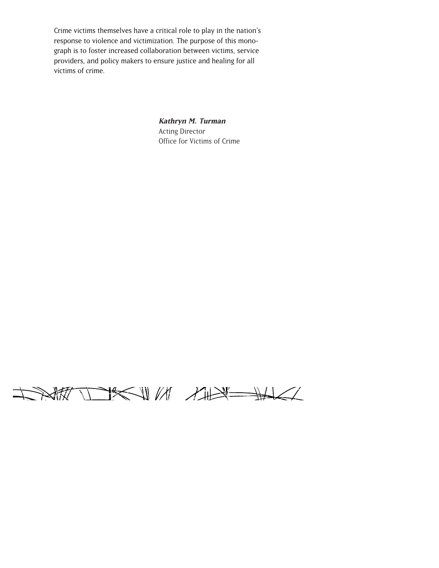Crime victims themselves have a critical role to play in the nation's response to violence and victimization. The purpose of this monograph is to foster increased collaboration between victims, service providers, and policy makers to ensure justice and healing for all victims of crime.

> **Kathryn M. Turman** Acting Director Office for Victims of Crime

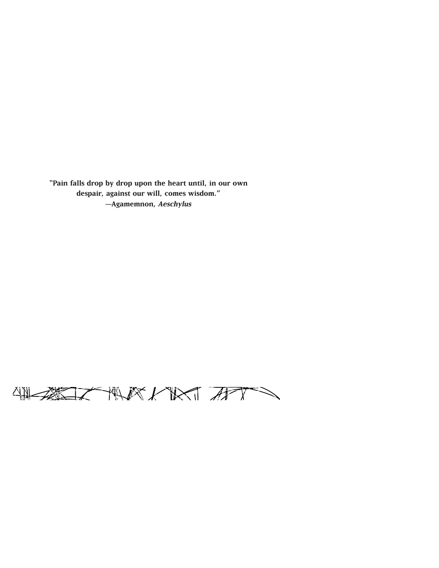**"Pain falls drop by drop upon the heart until, in our own despair, against our will, comes wisdom." —Agamemnon, Aeschylus**

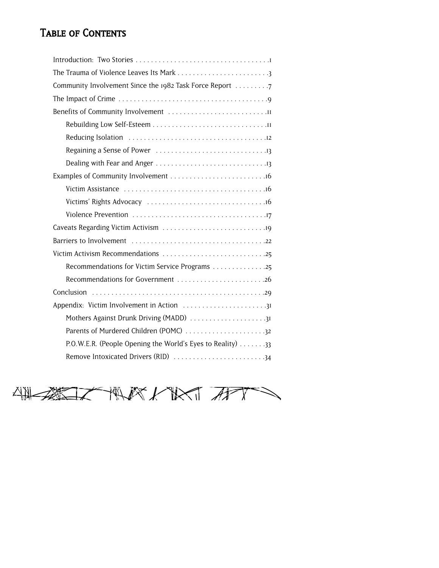# Table of Contents

| Community Involvement Since the 1982 Task Force Report 7   |
|------------------------------------------------------------|
|                                                            |
|                                                            |
|                                                            |
|                                                            |
|                                                            |
|                                                            |
|                                                            |
|                                                            |
|                                                            |
|                                                            |
|                                                            |
|                                                            |
|                                                            |
| Recommendations for Victim Service Programs 25             |
| Recommendations for Government 26                          |
|                                                            |
| Appendix: Victim Involvement in Action 31                  |
| Mothers Against Drunk Driving (MADD) 31                    |
| Parents of Murdered Children (POMC) 32                     |
| P.O.W.E.R. (People Opening the World's Eyes to Reality) 33 |
| Remove Intoxicated Drivers (RID) 34                        |

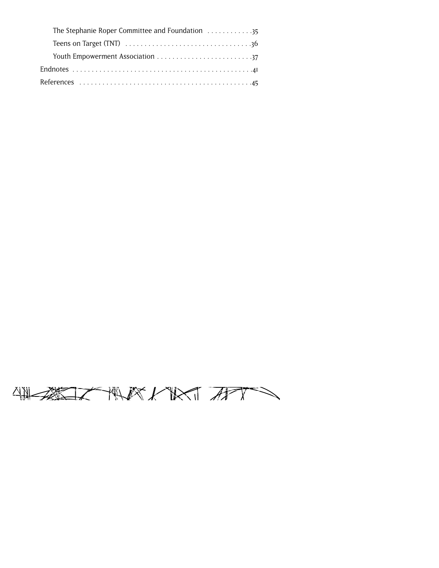| The Stephanie Roper Committee and Foundation 35                                                      |
|------------------------------------------------------------------------------------------------------|
| Teens on Target (TNT) $\ldots \ldots \ldots \ldots \ldots \ldots \ldots \ldots \ldots \ldots \ldots$ |
|                                                                                                      |
|                                                                                                      |
|                                                                                                      |

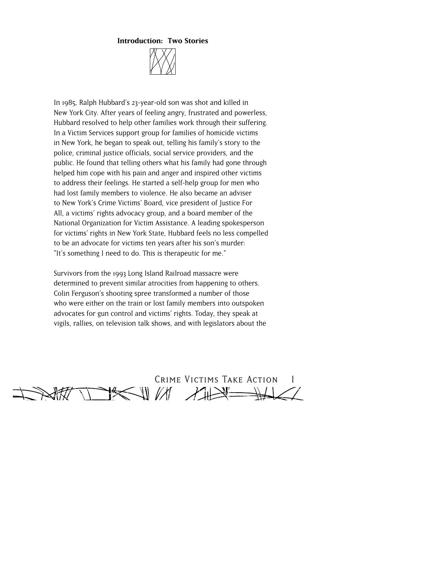#### **Introduction: Two Stories**



In 1985, Ralph Hubbard's 23-year-old son was shot and killed in New York City. After years of feeling angry, frustrated and powerless, Hubbard resolved to help other families work through their suffering. In a Victim Services support group for families of homicide victims in New York, he began to speak out, telling his family's story to the police, criminal justice officials, social service providers, and the public. He found that telling others what his family had gone through helped him cope with his pain and anger and inspired other victims to address their feelings. He started a self-help group for men who had lost family members to violence. He also became an adviser to New York's Crime Victims' Board, vice president of Justice For All, a victims' rights advocacy group, and a board member of the National Organization for Victim Assistance. A leading spokesperson for victims' rights in New York State, Hubbard feels no less compelled to be an advocate for victims ten years after his son's murder: "It's something I need to do. This is therapeutic for me."

Survivors from the 1993 Long Island Railroad massacre were determined to prevent similar atrocities from happening to others. Colin Ferguson's shooting spree transformed a number of those who were either on the train or lost family members into outspoken advocates for gun control and victims' rights. Today, they speak at vigils, rallies, on television talk shows, and with legislators about the

CRIME VICTIMS TAKE ACTION  $\begin{picture}(120,111){\small\bf 1} \put(120,111){\small\bf 1} \put(120,111){\small\bf 1} \put(120,111){\small\bf 1} \put(120,111){\small\bf 1} \put(120,111){\small\bf 1} \put(120,111){\small\bf 1} \put(120,111){\small\bf 1} \put(120,111){\small\bf 1} \put(120,111){\small\bf 1} \put(120,111){\small\bf 1} \put(120,111){\small\bf 1} \put$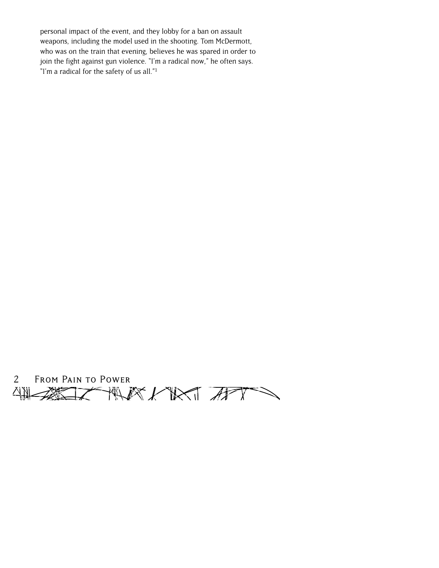personal impact of the event, and they lobby for a ban on assault weapons, including the model used in the shooting. Tom McDermott, who was on the train that evening, believes he was spared in order to join the fight against gun violence. "I'm a radical now," he often says. "I'm a radical for the safety of us all."<sup>1</sup>

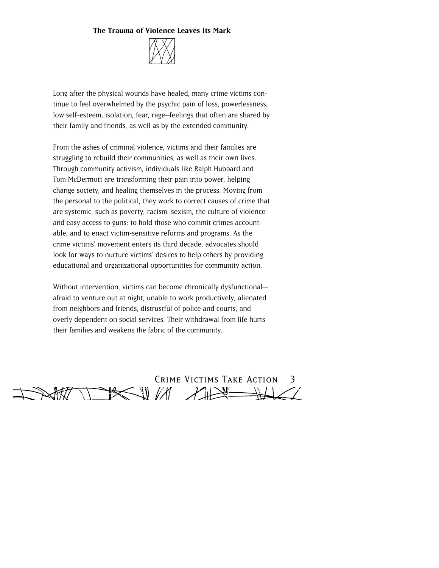#### **The Trauma of Violence Leaves Its Mark**



Long after the physical wounds have healed, many crime victims continue to feel overwhelmed by the psychic pain of loss, powerlessness, low self-esteem, isolation, fear, rage–feelings that often are shared by their family and friends, as well as by the extended community.

From the ashes of criminal violence, victims and their families are struggling to rebuild their communities, as well as their own lives. Through community activism, individuals like Ralph Hubbard and Tom McDermott are transforming their pain into power, helping change society, and healing themselves in the process. Moving from the personal to the political, they work to correct causes of crime that are systemic, such as poverty, racism, sexism, the culture of violence and easy access to guns; to hold those who commit crimes accountable; and to enact victim-sensitive reforms and programs. As the crime victims' movement enters its third decade, advocates should look for ways to nurture victims' desires to help others by providing educational and organizational opportunities for community action.

Without intervention, victims can become chronically dysfunctional afraid to venture out at night, unable to work productively, alienated from neighbors and friends, distrustful of police and courts, and overly dependent on social services. Their withdrawal from life hurts their families and weakens the fabric of the community.

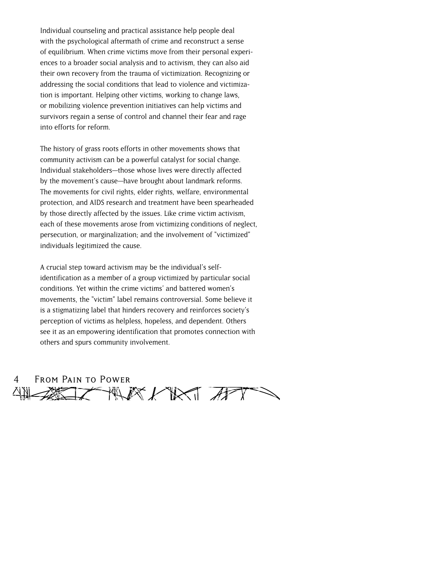Individual counseling and practical assistance help people deal with the psychological aftermath of crime and reconstruct a sense of equilibrium. When crime victims move from their personal experiences to a broader social analysis and to activism, they can also aid their own recovery from the trauma of victimization. Recognizing or addressing the social conditions that lead to violence and victimization is important. Helping other victims, working to change laws, or mobilizing violence prevention initiatives can help victims and survivors regain a sense of control and channel their fear and rage into efforts for reform.

The history of grass roots efforts in other movements shows that community activism can be a powerful catalyst for social change. Individual stakeholders—those whose lives were directly affected by the movement's cause—have brought about landmark reforms. The movements for civil rights, elder rights, welfare, environmental protection, and AIDS research and treatment have been spearheaded by those directly affected by the issues. Like crime victim activism, each of these movements arose from victimizing conditions of neglect, persecution, or marginalization; and the involvement of "victimized" individuals legitimized the cause.

A crucial step toward activism may be the individual's selfidentification as a member of a group victimized by particular social conditions. Yet within the crime victims' and battered women's movements, the "victim" label remains controversial. Some believe it is a stigmatizing label that hinders recovery and reinforces society's perception of victims as helpless, hopeless, and dependent. Others see it as an empowering identification that promotes connection with others and spurs community involvement.

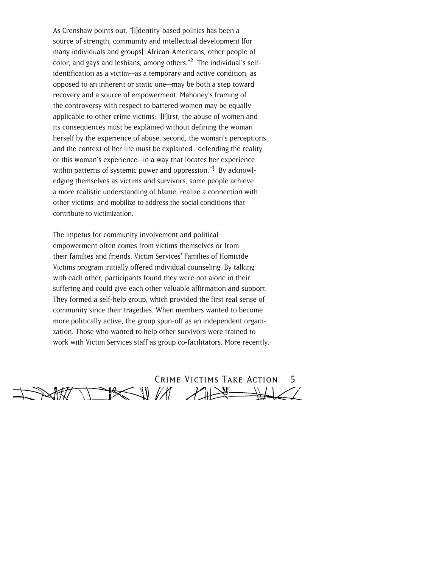As Crenshaw points out, "[I]dentity-based politics has been a source of strength, community and intellectual development [for many individuals and groups], African-Americans, other people of color, and gays and lesbians, among others."2 The individual's selfidentification as a victim—as a temporary and active condition, as opposed to an inherent or static one—may be both a step toward recovery and a source of empowerment. Mahoney's framing of the controversy with respect to battered women may be equally applicable to other crime victims: "[F]irst, the abuse of women and its consequences must be explained without defining the woman herself by the experience of abuse; second, the woman's perceptions and the context of her life must be explained—defending the reality of this woman's experience—in a way that locates her experience within patterns of systemic power and oppression."<sup>3</sup> By acknowledging themselves as victims and survivors, some people achieve a more realistic understanding of blame, realize a connection with other victims, and mobilize to address the social conditions that contribute to victimization.

The impetus for community involvement and political empowerment often comes from victims themselves or from their families and friends. Victim Services' Families of Homicide Victims program initially offered individual counseling. By talking with each other, participants found they were not alone in their suffering and could give each other valuable affirmation and support. They formed a self-help group, which provided the first real sense of community since their tragedies. When members wanted to become more politically active, the group spun-off as an independent organization. Those who wanted to help other survivors were trained to work with Victim Services staff as group co-facilitators. More recently,

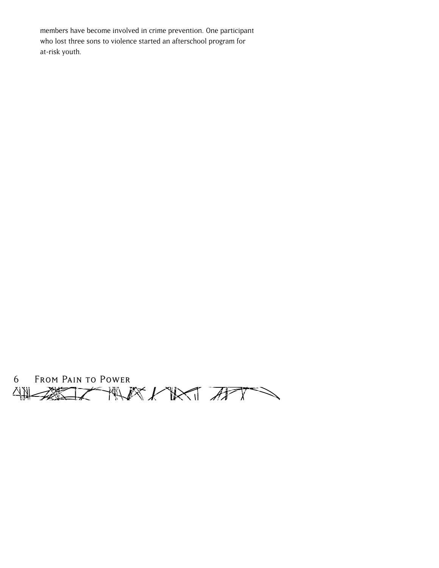members have become involved in crime prevention. One participant who lost three sons to violence started an afterschool program for at-risk youth.

6 FROM PAIN TO POWER AIN STRITT TANK I AN AFT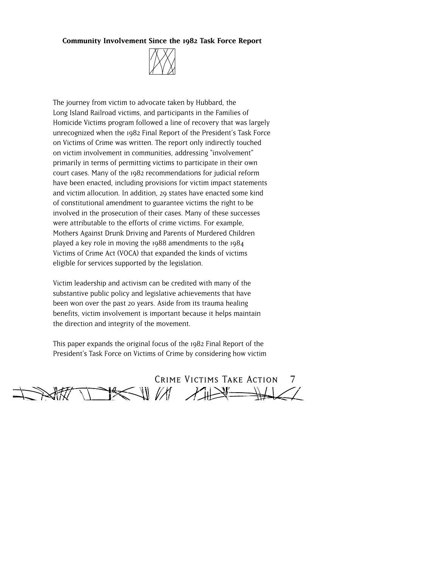#### **Community Involvement Since the 1982 Task Force Report**



The journey from victim to advocate taken by Hubbard, the Long Island Railroad victims, and participants in the Families of Homicide Victims program followed a line of recovery that was largely unrecognized when the 1982 Final Report of the President's Task Force on Victims of Crime was written. The report only indirectly touched on victim involvement in communities, addressing "involvement" primarily in terms of permitting victims to participate in their own court cases. Many of the 1982 recommendations for judicial reform have been enacted, including provisions for victim impact statements and victim allocution. In addition, 29 states have enacted some kind of constitutional amendment to guarantee victims the right to be involved in the prosecution of their cases. Many of these successes were attributable to the efforts of crime victims. For example, Mothers Against Drunk Driving and Parents of Murdered Children played a key role in moving the 1988 amendments to the 1984 Victims of Crime Act (VOCA) that expanded the kinds of victims eligible for services supported by the legislation.

Victim leadership and activism can be credited with many of the substantive public policy and legislative achievements that have been won over the past 20 years. Aside from its trauma healing benefits, victim involvement is important because it helps maintain the direction and integrity of the movement.

This paper expands the original focus of the 1982 Final Report of the President's Task Force on Victims of Crime by considering how victim

CRIME VICTIMS TAKE ACTION 7  $\begin{picture}(120,111) \put(0,0){\line(1,0){10}} \put(15,0){\line(1,0){10}} \put(15,0){\line(1,0){10}} \put(15,0){\line(1,0){10}} \put(15,0){\line(1,0){10}} \put(15,0){\line(1,0){10}} \put(15,0){\line(1,0){10}} \put(15,0){\line(1,0){10}} \put(15,0){\line(1,0){10}} \put(15,0){\line(1,0){10}} \put(15,0){\line(1,0){10}} \put(15,0){\line$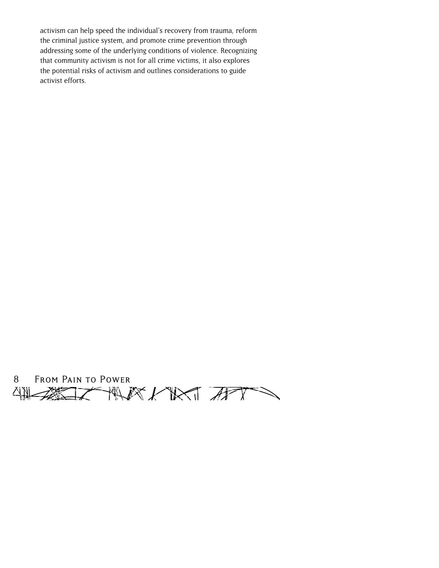activism can help speed the individual's recovery from trauma, reform the criminal justice system, and promote crime prevention through addressing some of the underlying conditions of violence. Recognizing that community activism is not for all crime victims, it also explores the potential risks of activism and outlines considerations to guide activist efforts.

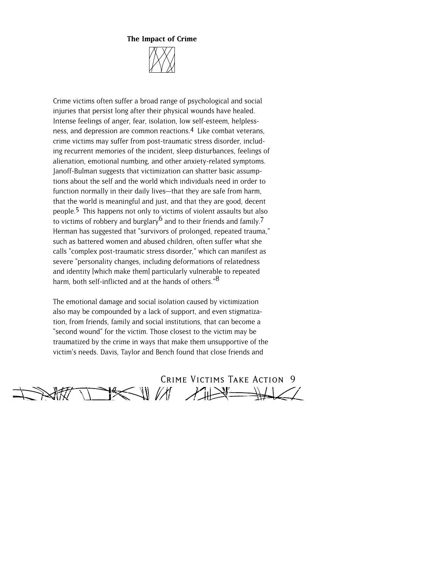#### **The Impact of Crime**



Crime victims often suffer a broad range of psychological and social injuries that persist long after their physical wounds have healed. Intense feelings of anger, fear, isolation, low self-esteem, helplessness, and depression are common reactions.4 Like combat veterans, crime victims may suffer from post-traumatic stress disorder, including recurrent memories of the incident, sleep disturbances, feelings of alienation, emotional numbing, and other anxiety-related symptoms. Janoff-Bulman suggests that victimization can shatter basic assumptions about the self and the world which individuals need in order to function normally in their daily lives—that they are safe from harm, that the world is meaningful and just, and that they are good, decent people.5 This happens not only to victims of violent assaults but also to victims of robbery and burglary<sup>6</sup> and to their friends and family.<sup>7</sup> Herman has suggested that "survivors of prolonged, repeated trauma," such as battered women and abused children, often suffer what she calls "complex post-traumatic stress disorder," which can manifest as severe "personality changes, including deformations of relatedness and identity [which make them] particularly vulnerable to repeated harm, both self-inflicted and at the hands of others."<sup>8</sup>

The emotional damage and social isolation caused by victimization also may be compounded by a lack of support, and even stigmatization, from friends, family and social institutions, that can become a "second wound" for the victim. Those closest to the victim may be traumatized by the crime in ways that make them unsupportive of the victim's needs. Davis, Taylor and Bench found that close friends and

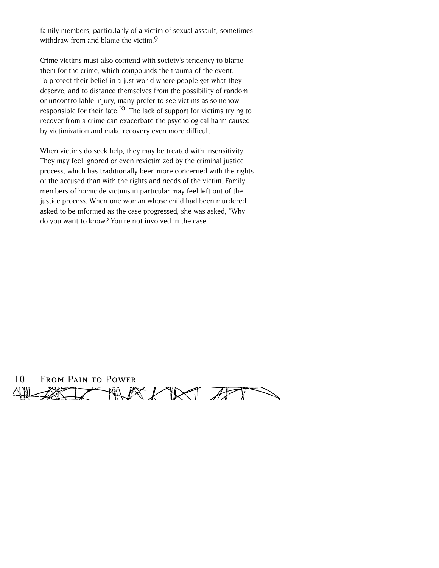family members, particularly of a victim of sexual assault, sometimes withdraw from and blame the victim.<sup>9</sup>

Crime victims must also contend with society's tendency to blame them for the crime, which compounds the trauma of the event. To protect their belief in a just world where people get what they deserve, and to distance themselves from the possibility of random or uncontrollable injury, many prefer to see victims as somehow responsible for their fate.<sup>10</sup> The lack of support for victims trying to recover from a crime can exacerbate the psychological harm caused by victimization and make recovery even more difficult.

When victims do seek help, they may be treated with insensitivity. They may feel ignored or even revictimized by the criminal justice process, which has traditionally been more concerned with the rights of the accused than with the rights and needs of the victim. Family members of homicide victims in particular may feel left out of the justice process. When one woman whose child had been murdered asked to be informed as the case progressed, she was asked, "Why do you want to know? You're not involved in the case."

10 FROM PAIN TO POWER AWXXXXI AFX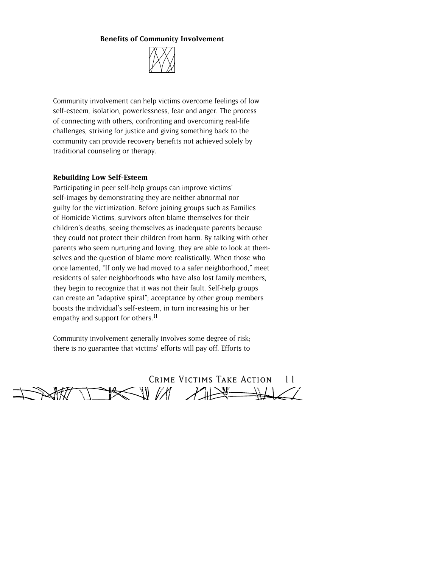#### **Benefits of Community Involvement**



Community involvement can help victims overcome feelings of low self-esteem, isolation, powerlessness, fear and anger. The process of connecting with others, confronting and overcoming real-life challenges, striving for justice and giving something back to the community can provide recovery benefits not achieved solely by traditional counseling or therapy.

#### **Rebuilding Low Self-Esteem**

Participating in peer self-help groups can improve victims' self-images by demonstrating they are neither abnormal nor guilty for the victimization. Before joining groups such as Families of Homicide Victims, survivors often blame themselves for their children's deaths, seeing themselves as inadequate parents because they could not protect their children from harm. By talking with other parents who seem nurturing and loving, they are able to look at themselves and the question of blame more realistically. When those who once lamented, "If only we had moved to a safer neighborhood," meet residents of safer neighborhoods who have also lost family members, they begin to recognize that it was not their fault. Self-help groups can create an "adaptive spiral"; acceptance by other group members boosts the individual's self-esteem, in turn increasing his or her empathy and support for others.<sup>II</sup>

Community involvement generally involves some degree of risk; there is no guarantee that victims' efforts will pay off. Efforts to

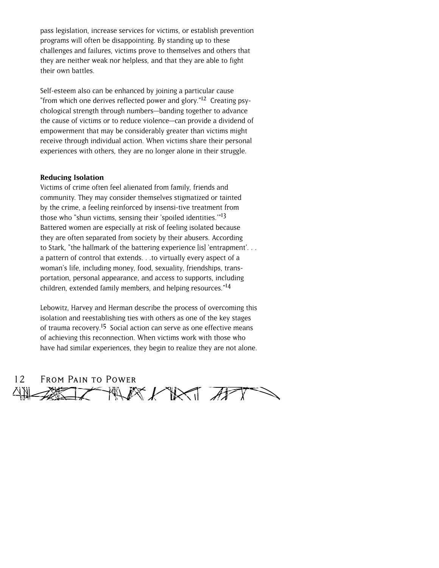pass legislation, increase services for victims, or establish prevention programs will often be disappointing. By standing up to these challenges and failures, victims prove to themselves and others that they are neither weak nor helpless, and that they are able to fight their own battles.

Self-esteem also can be enhanced by joining a particular cause "from which one derives reflected power and glory."<sup>12</sup> Creating psychological strength through numbers—banding together to advance the cause of victims or to reduce violence—can provide a dividend of empowerment that may be considerably greater than victims might receive through individual action. When victims share their personal experiences with others, they are no longer alone in their struggle.

#### **Reducing Isolation**

Victims of crime often feel alienated from family, friends and community. They may consider themselves stigmatized or tainted by the crime, a feeling reinforced by insensi-tive treatment from those who "shun victims, sensing their 'spoiled identities.<sup>"13</sup> Battered women are especially at risk of feeling isolated because they are often separated from society by their abusers. According to Stark, "the hallmark of the battering experience [is] 'entrapment'. . . a pattern of control that extends. . .to virtually every aspect of a woman's life, including money, food, sexuality, friendships, transportation, personal appearance, and access to supports, including children, extended family members, and helping resources."14

Lebowitz, Harvey and Herman describe the process of overcoming this isolation and reestablishing ties with others as one of the key stages of trauma recovery.<sup>15</sup> Social action can serve as one effective means of achieving this reconnection. When victims work with those who have had similar experiences, they begin to realize they are not alone.

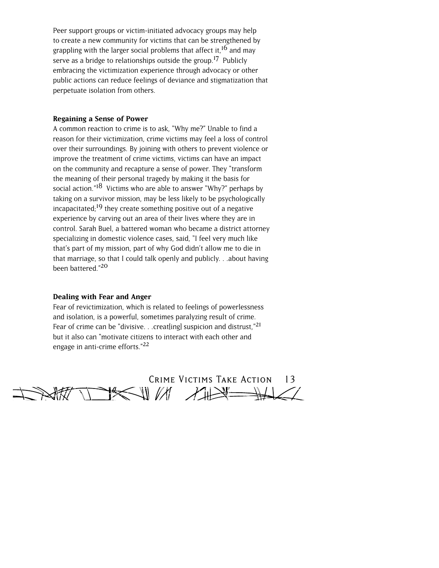Peer support groups or victim-initiated advocacy groups may help to create a new community for victims that can be strengthened by grappling with the larger social problems that affect it,  $^{16}$  and may serve as a bridge to relationships outside the group.<sup>17</sup> Publicly embracing the victimization experience through advocacy or other public actions can reduce feelings of deviance and stigmatization that perpetuate isolation from others.

#### **Regaining a Sense of Power**

A common reaction to crime is to ask, "Why me?" Unable to find a reason for their victimization, crime victims may feel a loss of control over their surroundings. By joining with others to prevent violence or improve the treatment of crime victims, victims can have an impact on the community and recapture a sense of power. They "transform the meaning of their personal tragedy by making it the basis for social action."<sup>18</sup> Victims who are able to answer "Why?" perhaps by taking on a survivor mission, may be less likely to be psychologically incapacitated;19 they create something positive out of a negative experience by carving out an area of their lives where they are in control. Sarah Buel, a battered woman who became a district attorney specializing in domestic violence cases, said, "I feel very much like that's part of my mission, part of why God didn't allow me to die in that marriage, so that I could talk openly and publicly. . .about having been battered."20

#### **Dealing with Fear and Anger**

Fear of revictimization, which is related to feelings of powerlessness and isolation, is a powerful, sometimes paralyzing result of crime. Fear of crime can be "divisive. . .creat[ing] suspicion and distrust."<sup>21</sup> but it also can "motivate citizens to interact with each other and engage in anti-crime efforts."22

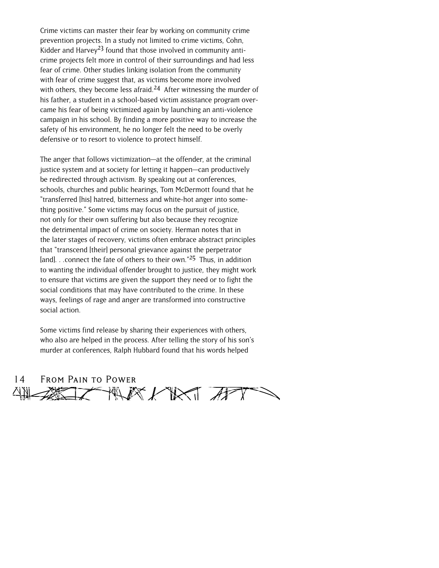Crime victims can master their fear by working on community crime prevention projects. In a study not limited to crime victims, Cohn, Kidder and Harvey<sup>23</sup> found that those involved in community anticrime projects felt more in control of their surroundings and had less fear of crime. Other studies linking isolation from the community with fear of crime suggest that, as victims become more involved with others, they become less afraid. $24$  After witnessing the murder of his father, a student in a school-based victim assistance program overcame his fear of being victimized again by launching an anti-violence campaign in his school. By finding a more positive way to increase the safety of his environment, he no longer felt the need to be overly defensive or to resort to violence to protect himself.

The anger that follows victimization—at the offender, at the criminal justice system and at society for letting it happen—can productively be redirected through activism. By speaking out at conferences, schools, churches and public hearings, Tom McDermott found that he "transferred [his] hatred, bitterness and white-hot anger into something positive." Some victims may focus on the pursuit of justice, not only for their own suffering but also because they recognize the detrimental impact of crime on society. Herman notes that in the later stages of recovery, victims often embrace abstract principles that "transcend [their] personal grievance against the perpetrator [and]. . .connect the fate of others to their own."25 Thus, in addition to wanting the individual offender brought to justice, they might work to ensure that victims are given the support they need or to fight the social conditions that may have contributed to the crime. In these ways, feelings of rage and anger are transformed into constructive social action.

Some victims find release by sharing their experiences with others, who also are helped in the process. After telling the story of his son's murder at conferences, Ralph Hubbard found that his words helped

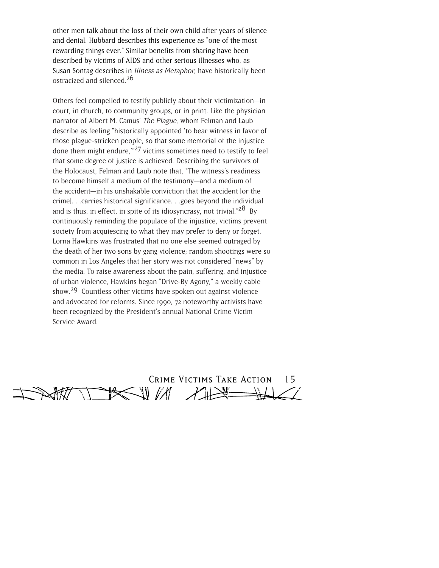other men talk about the loss of their own child after years of silence and denial. Hubbard describes this experience as "one of the most rewarding things ever." Similar benefits from sharing have been described by victims of AIDS and other serious illnesses who, as Susan Sontag describes in Illness as Metaphor, have historically been ostracized and silenced.<sup>26</sup>

Others feel compelled to testify publicly about their victimization—in court, in church, to community groups, or in print. Like the physician narrator of Albert M. Camus' The Plague, whom Felman and Laub describe as feeling "historically appointed 'to bear witness in favor of those plague-stricken people, so that some memorial of the injustice done them might endure,<sup>"27</sup> victims sometimes need to testify to feel that some degree of justice is achieved. Describing the survivors of the Holocaust, Felman and Laub note that, "The witness's readiness to become himself a medium of the testimony—and a medium of the accident—in his unshakable conviction that the accident [or the crime]. . .carries historical significance. . .goes beyond the individual and is thus, in effect, in spite of its idiosyncrasy, not trivial."<sup>28</sup> Bv continuously reminding the populace of the injustice, victims prevent society from acquiescing to what they may prefer to deny or forget. Lorna Hawkins was frustrated that no one else seemed outraged by the death of her two sons by gang violence; random shootings were so common in Los Angeles that her story was not considered "news" by the media. To raise awareness about the pain, suffering, and injustice of urban violence, Hawkins began "Drive-By Agony," a weekly cable show.29 Countless other victims have spoken out against violence and advocated for reforms. Since 1990, 72 noteworthy activists have been recognized by the President's annual National Crime Victim Service Award.

CRIME VICTIMS TAKE ACTION 15 SHEK IN USE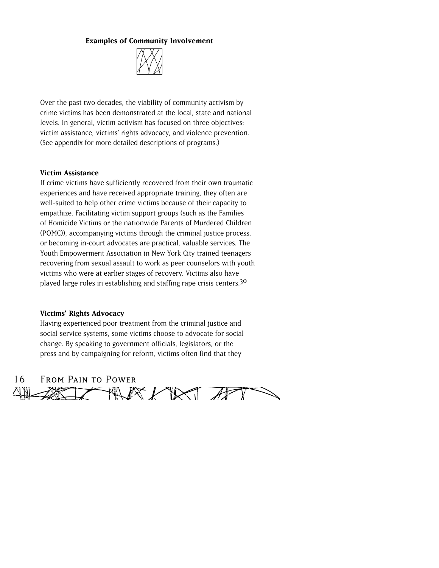#### **Examples of Community Involvement**



Over the past two decades, the viability of community activism by crime victims has been demonstrated at the local, state and national levels. In general, victim activism has focused on three objectives: victim assistance, victims' rights advocacy, and violence prevention. (See appendix for more detailed descriptions of programs.)

#### **Victim Assistance**

If crime victims have sufficiently recovered from their own traumatic experiences and have received appropriate training, they often are well-suited to help other crime victims because of their capacity to empathize. Facilitating victim support groups (such as the Families of Homicide Victims or the nationwide Parents of Murdered Children (POMC)), accompanying victims through the criminal justice process, or becoming in-court advocates are practical, valuable services. The Youth Empowerment Association in New York City trained teenagers recovering from sexual assault to work as peer counselors with youth victims who were at earlier stages of recovery. Victims also have played large roles in establishing and staffing rape crisis centers.<sup>30</sup>

#### **Victims' Rights Advocacy**

Having experienced poor treatment from the criminal justice and social service systems, some victims choose to advocate for social change. By speaking to government officials, legislators, or the press and by campaigning for reform, victims often find that they

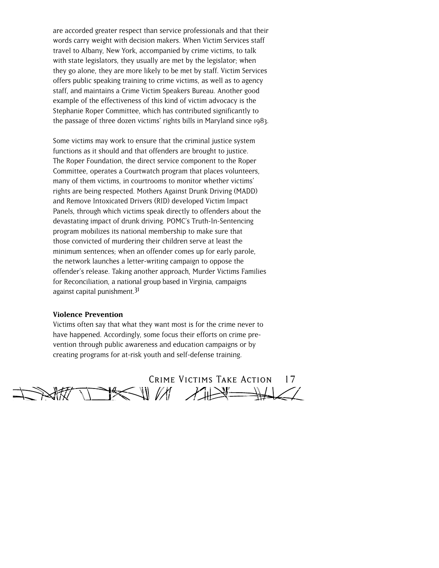are accorded greater respect than service professionals and that their words carry weight with decision makers. When Victim Services staff travel to Albany, New York, accompanied by crime victims, to talk with state legislators, they usually are met by the legislator; when they go alone, they are more likely to be met by staff. Victim Services offers public speaking training to crime victims, as well as to agency staff, and maintains a Crime Victim Speakers Bureau. Another good example of the effectiveness of this kind of victim advocacy is the Stephanie Roper Committee, which has contributed significantly to the passage of three dozen victims' rights bills in Maryland since 1983.

Some victims may work to ensure that the criminal justice system functions as it should and that offenders are brought to justice. The Roper Foundation, the direct service component to the Roper Committee, operates a Courtwatch program that places volunteers, many of them victims, in courtrooms to monitor whether victims' rights are being respected. Mothers Against Drunk Driving (MADD) and Remove Intoxicated Drivers (RID) developed Victim Impact Panels, through which victims speak directly to offenders about the devastating impact of drunk driving. POMC's Truth-In-Sentencing program mobilizes its national membership to make sure that those convicted of murdering their children serve at least the minimum sentences; when an offender comes up for early parole, the network launches a letter-writing campaign to oppose the offender's release. Taking another approach, Murder Victims Families for Reconciliation, a national group based in Virginia, campaigns against capital punishment.<sup>31</sup>

#### **Violence Prevention**

Victims often say that what they want most is for the crime never to have happened. Accordingly, some focus their efforts on crime prevention through public awareness and education campaigns or by creating programs for at-risk youth and self-defense training.

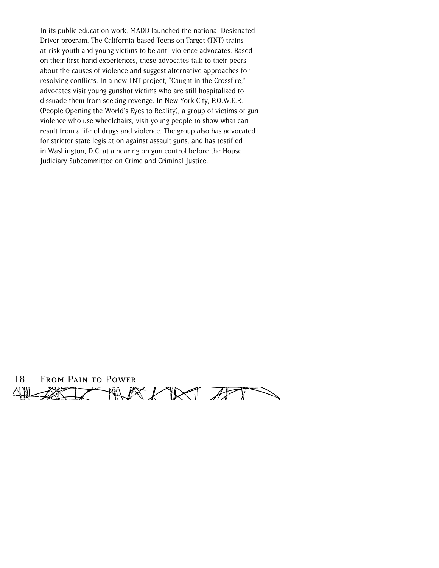In its public education work, MADD launched the national Designated Driver program. The California-based Teens on Target (TNT) trains at-risk youth and young victims to be anti-violence advocates. Based on their first-hand experiences, these advocates talk to their peers about the causes of violence and suggest alternative approaches for resolving conflicts. In a new TNT project, "Caught in the Crossfire," advocates visit young gunshot victims who are still hospitalized to dissuade them from seeking revenge. In New York City, P.O.W.E.R. (People Opening the World's Eyes to Reality), a group of victims of gun violence who use wheelchairs, visit young people to show what can result from a life of drugs and violence. The group also has advocated for stricter state legislation against assault guns, and has testified in Washington, D.C. at a hearing on gun control before the House Judiciary Subcommittee on Crime and Criminal Justice.

18 FROM PAIN TO POWER ANTI ATT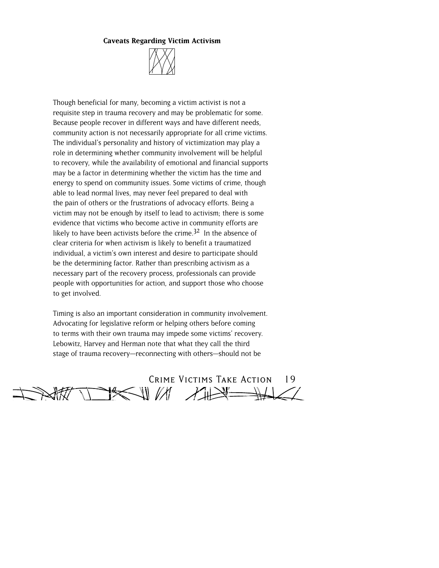#### **Caveats Regarding Victim Activism**



Though beneficial for many, becoming a victim activist is not a requisite step in trauma recovery and may be problematic for some. Because people recover in different ways and have different needs, community action is not necessarily appropriate for all crime victims. The individual's personality and history of victimization may play a role in determining whether community involvement will be helpful to recovery, while the availability of emotional and financial supports may be a factor in determining whether the victim has the time and energy to spend on community issues. Some victims of crime, though able to lead normal lives, may never feel prepared to deal with the pain of others or the frustrations of advocacy efforts. Being a victim may not be enough by itself to lead to activism; there is some evidence that victims who become active in community efforts are likely to have been activists before the crime.<sup>32</sup> In the absence of clear criteria for when activism is likely to benefit a traumatized individual, a victim's own interest and desire to participate should be the determining factor. Rather than prescribing activism as a necessary part of the recovery process, professionals can provide people with opportunities for action, and support those who choose to get involved.

Timing is also an important consideration in community involvement. Advocating for legislative reform or helping others before coming to terms with their own trauma may impede some victims' recovery. Lebowitz, Harvey and Herman note that what they call the third stage of trauma recovery—reconnecting with others—should not be

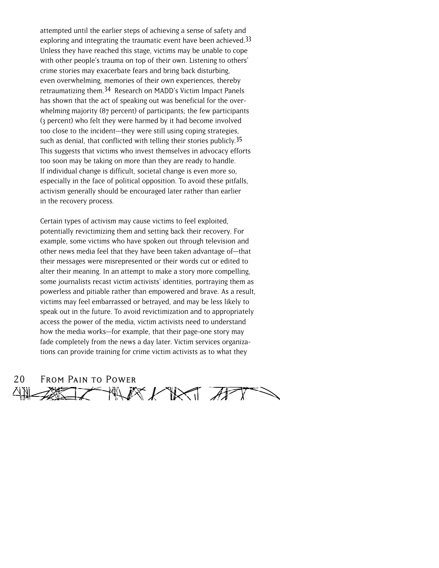attempted until the earlier steps of achieving a sense of safety and exploring and integrating the traumatic event have been achieved.<sup>33</sup> Unless they have reached this stage, victims may be unable to cope with other people's trauma on top of their own. Listening to others' crime stories may exacerbate fears and bring back disturbing, even overwhelming, memories of their own experiences, thereby retraumatizing them.34 Research on MADD's Victim Impact Panels has shown that the act of speaking out was beneficial for the overwhelming majority (87 percent) of participants; the few participants (3 percent) who felt they were harmed by it had become involved too close to the incident—they were still using coping strategies, such as denial, that conflicted with telling their stories publicly.<sup>35</sup> This suggests that victims who invest themselves in advocacy efforts too soon may be taking on more than they are ready to handle. If individual change is difficult, societal change is even more so, especially in the face of political opposition. To avoid these pitfalls, activism generally should be encouraged later rather than earlier in the recovery process.

Certain types of activism may cause victims to feel exploited, potentially revictimizing them and setting back their recovery. For example, some victims who have spoken out through television and other news media feel that they have been taken advantage of—that their messages were misrepresented or their words cut or edited to alter their meaning. In an attempt to make a story more compelling, some journalists recast victim activists' identities, portraying them as powerless and pitiable rather than empowered and brave. As a result, victims may feel embarrassed or betrayed, and may be less likely to speak out in the future. To avoid revictimization and to appropriately access the power of the media, victim activists need to understand how the media works—for example, that their page-one story may fade completely from the news a day later. Victim services organizations can provide training for crime victim activists as to what they

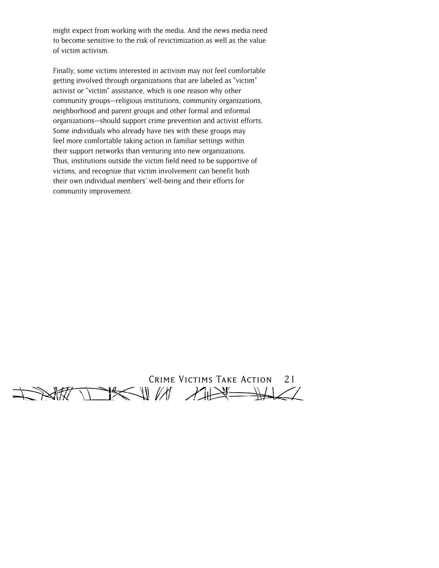might expect from working with the media. And the news media need to become sensitive to the risk of revictimization as well as the value of victim activism.

Finally, some victims interested in activism may not feel comfortable getting involved through organizations that are labeled as "victim" activist or "victim" assistance, which is one reason why other community groups—religious institutions, community organizations, neighborhood and parent groups and other formal and informal organizations—should support crime prevention and activist efforts. Some individuals who already have ties with these groups may feel more comfortable taking action in familiar settings within their support networks than venturing into new organizations. Thus, institutions outside the victim field need to be supportive of victims, and recognize that victim involvement can benefit both their own individual members' well-being and their efforts for community improvement.

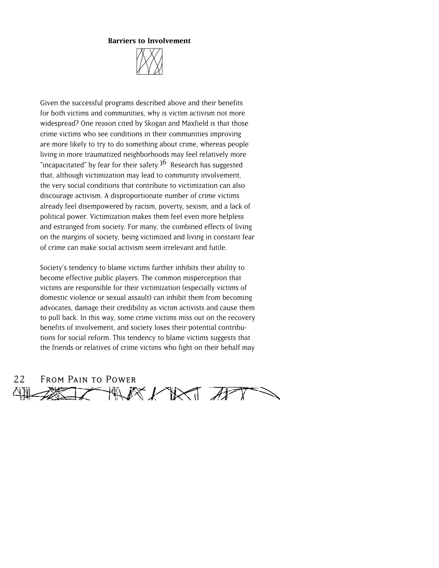#### **Barriers to Involvement**



Given the successful programs described above and their benefits for both victims and communities, why is victim activism not more widespread? One reason cited by Skogan and Maxfield is that those crime victims who see conditions in their communities improving are more likely to try to do something about crime, whereas people living in more traumatized neighborhoods may feel relatively more "incapacitated" by fear for their safety.<sup>36</sup> Research has suggested that, although victimization may lead to community involvement, the very social conditions that contribute to victimization can also discourage activism. A disproportionate number of crime victims already feel disempowered by racism, poverty, sexism, and a lack of political power. Victimization makes them feel even more helpless and estranged from society. For many, the combined effects of living on the margins of society, being victimized and living in constant fear of crime can make social activism seem irrelevant and futile.

Society's tendency to blame victims further inhibits their ability to become effective public players. The common misperception that victims are responsible for their victimization (especially victims of domestic violence or sexual assault) can inhibit them from becoming advocates, damage their credibility as victim activists and cause them to pull back. In this way, some crime victims miss out on the recovery benefits of involvement, and society loses their potential contributions for social reform. This tendency to blame victims suggests that the friends or relatives of crime victims who fight on their behalf may

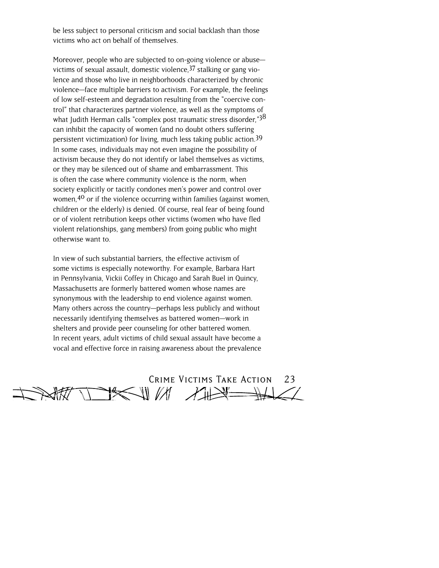be less subject to personal criticism and social backlash than those victims who act on behalf of themselves.

Moreover, people who are subjected to on-going violence or abuse victims of sexual assault, domestic violence,  $37$  stalking or gang violence and those who live in neighborhoods characterized by chronic violence—face multiple barriers to activism. For example, the feelings of low self-esteem and degradation resulting from the "coercive control" that characterizes partner violence, as well as the symptoms of what Judith Herman calls "complex post traumatic stress disorder."<sup>38</sup> can inhibit the capacity of women (and no doubt others suffering persistent victimization) for living, much less taking public action.39 In some cases, individuals may not even imagine the possibility of activism because they do not identify or label themselves as victims, or they may be silenced out of shame and embarrassment. This is often the case where community violence is the norm, when society explicitly or tacitly condones men's power and control over women,40 or if the violence occurring within families (against women, children or the elderly) is denied. Of course, real fear of being found or of violent retribution keeps other victims (women who have fled violent relationships, gang members) from going public who might otherwise want to.

In view of such substantial barriers, the effective activism of some victims is especially noteworthy. For example, Barbara Hart in Pennsylvania, Vickii Coffey in Chicago and Sarah Buel in Quincy, Massachusetts are formerly battered women whose names are synonymous with the leadership to end violence against women. Many others across the country—perhaps less publicly and without necessarily identifying themselves as battered women—work in shelters and provide peer counseling for other battered women. In recent years, adult victims of child sexual assault have become a vocal and effective force in raising awareness about the prevalence

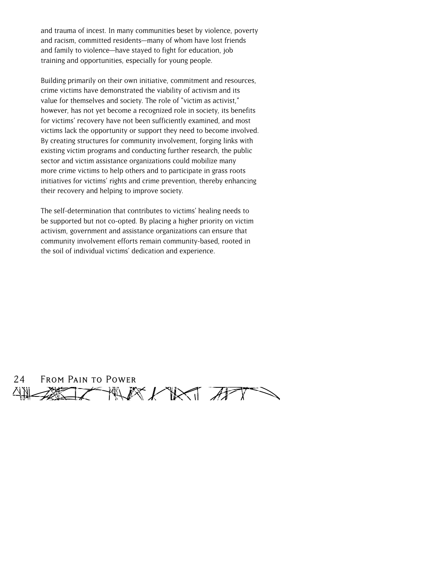and trauma of incest. In many communities beset by violence, poverty and racism, committed residents—many of whom have lost friends and family to violence—have stayed to fight for education, job training and opportunities, especially for young people.

Building primarily on their own initiative, commitment and resources, crime victims have demonstrated the viability of activism and its value for themselves and society. The role of "victim as activist," however, has not yet become a recognized role in society, its benefits for victims' recovery have not been sufficiently examined, and most victims lack the opportunity or support they need to become involved. By creating structures for community involvement, forging links with existing victim programs and conducting further research, the public sector and victim assistance organizations could mobilize many more crime victims to help others and to participate in grass roots initiatives for victims' rights and crime prevention, thereby enhancing their recovery and helping to improve society.

The self-determination that contributes to victims' healing needs to be supported but not co-opted. By placing a higher priority on victim activism, government and assistance organizations can ensure that community involvement efforts remain community-based, rooted in the soil of individual victims' dedication and experience.

24 FROM PAIN TO POWER AV KART ATT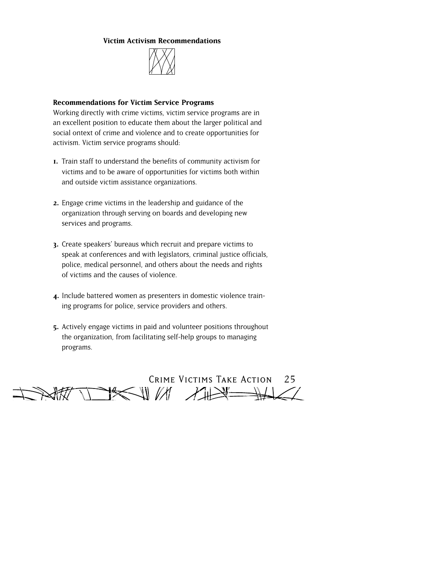#### **Victim Activism Recommendations**



#### **Recommendations for Victim Service Programs**

Working directly with crime victims, victim service programs are in an excellent position to educate them about the larger political and social ontext of crime and violence and to create opportunities for activism. Victim service programs should:

- **1.** Train staff to understand the benefits of community activism for victims and to be aware of opportunities for victims both within and outside victim assistance organizations.
- **2.** Engage crime victims in the leadership and guidance of the organization through serving on boards and developing new services and programs.
- **3.** Create speakers' bureaus which recruit and prepare victims to speak at conferences and with legislators, criminal justice officials, police, medical personnel, and others about the needs and rights of victims and the causes of violence.
- **4.** Include battered women as presenters in domestic violence training programs for police, service providers and others.
- **5.** Actively engage victims in paid and volunteer positions throughout the organization, from facilitating self-help groups to managing programs.

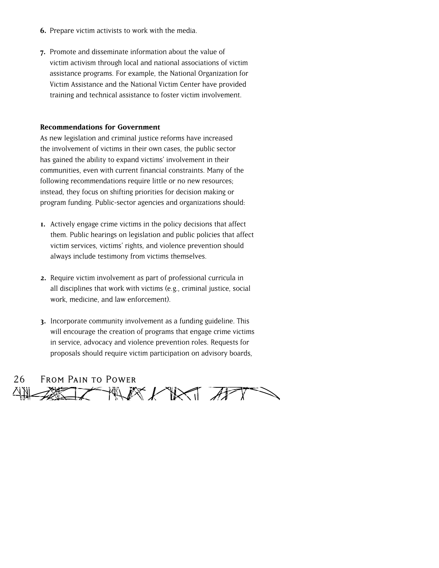- **6.** Prepare victim activists to work with the media.
- **7.** Promote and disseminate information about the value of victim activism through local and national associations of victim assistance programs. For example, the National Organization for Victim Assistance and the National Victim Center have provided training and technical assistance to foster victim involvement.

#### **Recommendations for Government**

As new legislation and criminal justice reforms have increased the involvement of victims in their own cases, the public sector has gained the ability to expand victims' involvement in their communities, even with current financial constraints. Many of the following recommendations require little or no new resources; instead, they focus on shifting priorities for decision making or program funding. Public-sector agencies and organizations should:

- **1.** Actively engage crime victims in the policy decisions that affect them. Public hearings on legislation and public policies that affect victim services, victims' rights, and violence prevention should always include testimony from victims themselves.
- **2.** Require victim involvement as part of professional curricula in all disciplines that work with victims (e.g., criminal justice, social work, medicine, and law enforcement).
- **3.** Incorporate community involvement as a funding guideline. This will encourage the creation of programs that engage crime victims in service, advocacy and violence prevention roles. Requests for proposals should require victim participation on advisory boards,

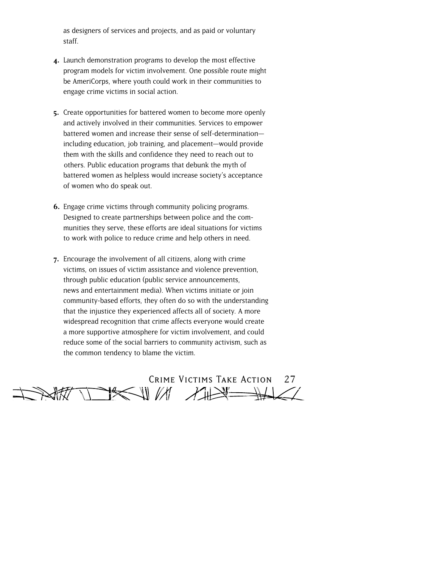as designers of services and projects, and as paid or voluntary staff.

- **4.** Launch demonstration programs to develop the most effective program models for victim involvement. One possible route might be AmeriCorps, where youth could work in their communities to engage crime victims in social action.
- **5.** Create opportunities for battered women to become more openly and actively involved in their communities. Services to empower battered women and increase their sense of self-determination including education, job training, and placement—would provide them with the skills and confidence they need to reach out to others. Public education programs that debunk the myth of battered women as helpless would increase society's acceptance of women who do speak out.
- **6.** Engage crime victims through community policing programs. Designed to create partnerships between police and the communities they serve, these efforts are ideal situations for victims to work with police to reduce crime and help others in need.
- **7.** Encourage the involvement of all citizens, along with crime victims, on issues of victim assistance and violence prevention, through public education (public service announcements, news and entertainment media). When victims initiate or join community-based efforts, they often do so with the understanding that the injustice they experienced affects all of society. A more widespread recognition that crime affects everyone would create a more supportive atmosphere for victim involvement, and could reduce some of the social barriers to community activism, such as the common tendency to blame the victim.

CRIME VICTIMS TAKE ACTION 27 NET TEST WAR ANDER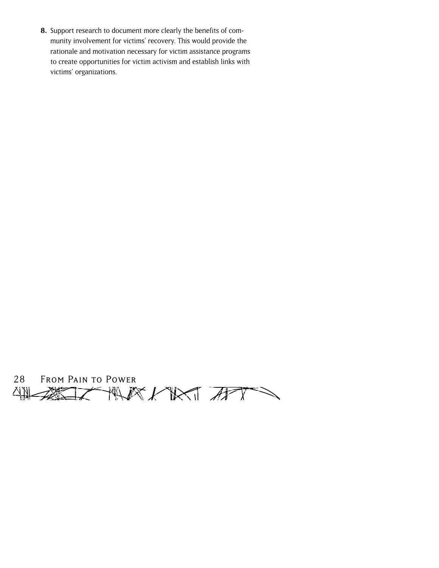**8.** Support research to document more clearly the benefits of community involvement for victims' recovery. This would provide the rationale and motivation necessary for victim assistance programs to create opportunities for victim activism and establish links with victims' organizations.

28 FROM PAIN TO POWER AND THAT AND AND ŲЖ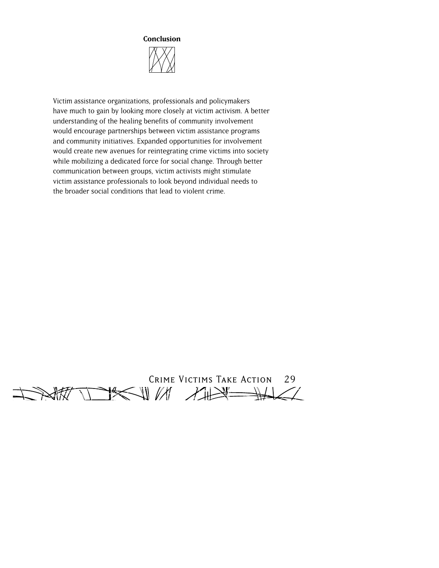#### **Conclusion**



Victim assistance organizations, professionals and policymakers have much to gain by looking more closely at victim activism. A better understanding of the healing benefits of community involvement would encourage partnerships between victim assistance programs and community initiatives. Expanded opportunities for involvement would create new avenues for reintegrating crime victims into society while mobilizing a dedicated force for social change. Through better communication between groups, victim activists might stimulate victim assistance professionals to look beyond individual needs to the broader social conditions that lead to violent crime.

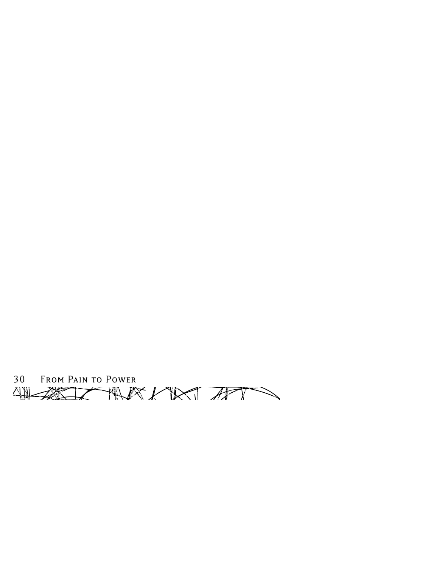30 FROM PAIN TO POWER AN ARIZ MARK KIRT AFT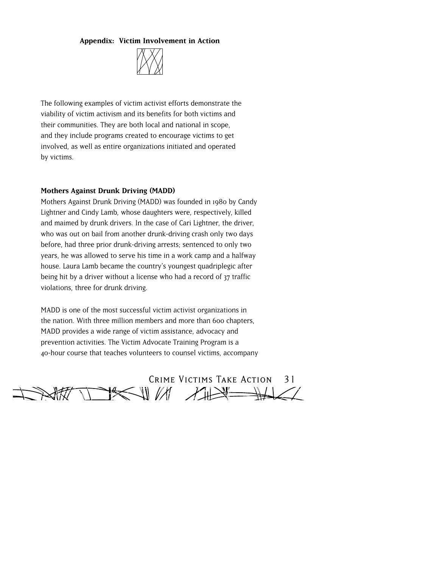### **Appendix: Victim Involvement in Action**



The following examples of victim activist efforts demonstrate the viability of victim activism and its benefits for both victims and their communities. They are both local and national in scope, and they include programs created to encourage victims to get involved, as well as entire organizations initiated and operated by victims.

#### **Mothers Against Drunk Driving (MADD)**

Mothers Against Drunk Driving (MADD) was founded in 1980 by Candy Lightner and Cindy Lamb, whose daughters were, respectively, killed and maimed by drunk drivers. In the case of Cari Lightner, the driver, who was out on bail from another drunk-driving crash only two days before, had three prior drunk-driving arrests; sentenced to only two years, he was allowed to serve his time in a work camp and a halfway house. Laura Lamb became the country's youngest quadriplegic after being hit by a driver without a license who had a record of 37 traffic violations, three for drunk driving.

MADD is one of the most successful victim activist organizations in the nation. With three million members and more than 600 chapters, MADD provides a wide range of victim assistance, advocacy and prevention activities. The Victim Advocate Training Program is a 40-hour course that teaches volunteers to counsel victims, accompany

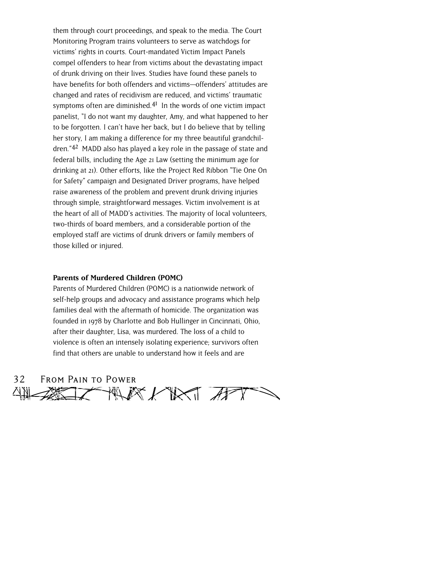them through court proceedings, and speak to the media. The Court Monitoring Program trains volunteers to serve as watchdogs for victims' rights in courts. Court-mandated Victim Impact Panels compel offenders to hear from victims about the devastating impact of drunk driving on their lives. Studies have found these panels to have benefits for both offenders and victims—offenders' attitudes are changed and rates of recidivism are reduced, and victims' traumatic symptoms often are diminished. $4<sup>I</sup>$  In the words of one victim impact panelist, "I do not want my daughter, Amy, and what happened to her to be forgotten. I can't have her back, but I do believe that by telling her story, I am making a difference for my three beautiful grandchildren."42 MADD also has played a key role in the passage of state and federal bills, including the Age 21 Law (setting the minimum age for drinking at 21). Other efforts, like the Project Red Ribbon "Tie One On for Safety" campaign and Designated Driver programs, have helped raise awareness of the problem and prevent drunk driving injuries through simple, straightforward messages. Victim involvement is at the heart of all of MADD's activities. The majority of local volunteers, two-thirds of board members, and a considerable portion of the employed staff are victims of drunk drivers or family members of those killed or injured.

#### **Parents of Murdered Children (POMC)**

Parents of Murdered Children (POMC) is a nationwide network of self-help groups and advocacy and assistance programs which help families deal with the aftermath of homicide. The organization was founded in 1978 by Charlotte and Bob Hullinger in Cincinnati, Ohio, after their daughter, Lisa, was murdered. The loss of a child to violence is often an intensely isolating experience; survivors often find that others are unable to understand how it feels and are

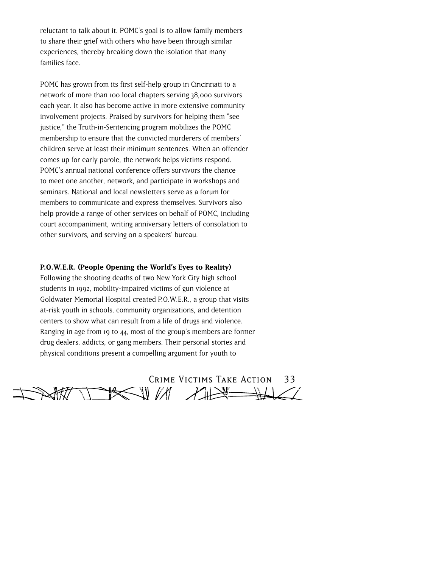reluctant to talk about it. POMC's goal is to allow family members to share their grief with others who have been through similar experiences, thereby breaking down the isolation that many families face.

POMC has grown from its first self-help group in Cincinnati to a network of more than 100 local chapters serving 38,000 survivors each year. It also has become active in more extensive community involvement projects. Praised by survivors for helping them "see justice," the Truth-in-Sentencing program mobilizes the POMC membership to ensure that the convicted murderers of members' children serve at least their minimum sentences. When an offender comes up for early parole, the network helps victims respond. POMC's annual national conference offers survivors the chance to meet one another, network, and participate in workshops and seminars. National and local newsletters serve as a forum for members to communicate and express themselves. Survivors also help provide a range of other services on behalf of POMC, including court accompaniment, writing anniversary letters of consolation to other survivors, and serving on a speakers' bureau.

#### **P.O.W.E.R. (People Opening the World's Eyes to Reality)**

Following the shooting deaths of two New York City high school students in 1992, mobility-impaired victims of gun violence at Goldwater Memorial Hospital created P.O.W.E.R., a group that visits at-risk youth in schools, community organizations, and detention centers to show what can result from a life of drugs and violence. Ranging in age from 19 to 44, most of the group's members are former drug dealers, addicts, or gang members. Their personal stories and physical conditions present a compelling argument for youth to

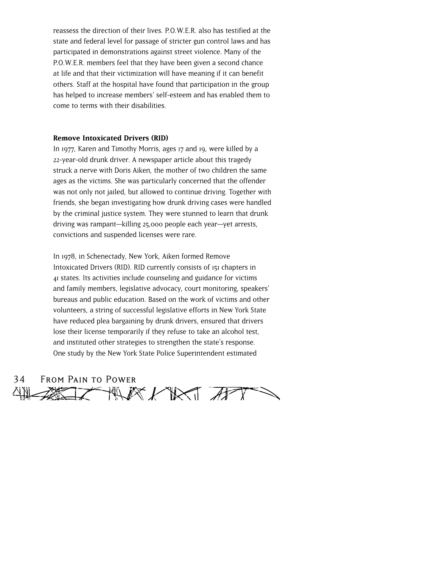reassess the direction of their lives. P.O.W.E.R. also has testified at the state and federal level for passage of stricter gun control laws and has participated in demonstrations against street violence. Many of the P.O.W.E.R. members feel that they have been given a second chance at life and that their victimization will have meaning if it can benefit others. Staff at the hospital have found that participation in the group has helped to increase members' self-esteem and has enabled them to come to terms with their disabilities.

#### **Remove Intoxicated Drivers (RID)**

In 1977, Karen and Timothy Morris, ages 17 and 19, were killed by a 22-year-old drunk driver. A newspaper article about this tragedy struck a nerve with Doris Aiken, the mother of two children the same ages as the victims. She was particularly concerned that the offender was not only not jailed, but allowed to continue driving. Together with friends, she began investigating how drunk driving cases were handled by the criminal justice system. They were stunned to learn that drunk driving was rampant—killing 25,000 people each year—yet arrests, convictions and suspended licenses were rare.

In 1978, in Schenectady, New York, Aiken formed Remove Intoxicated Drivers (RID). RID currently consists of 151 chapters in 41 states. Its activities include counseling and guidance for victims and family members, legislative advocacy, court monitoring, speakers' bureaus and public education. Based on the work of victims and other volunteers, a string of successful legislative efforts in New York State have reduced plea bargaining by drunk drivers, ensured that drivers lose their license temporarily if they refuse to take an alcohol test, and instituted other strategies to strengthen the state's response. One study by the New York State Police Superintendent estimated

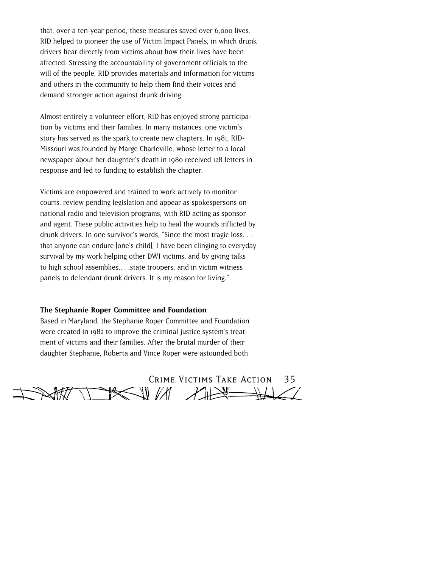that, over a ten-year period, these measures saved over 6,000 lives. RID helped to pioneer the use of Victim Impact Panels, in which drunk drivers hear directly from victims about how their lives have been affected. Stressing the accountability of government officials to the will of the people, RID provides materials and information for victims and others in the community to help them find their voices and demand stronger action against drunk driving.

Almost entirely a volunteer effort, RID has enjoyed strong participation by victims and their families. In many instances, one victim's story has served as the spark to create new chapters. In 1981, RID-Missouri was founded by Marge Charleville, whose letter to a local newspaper about her daughter's death in 1980 received 128 letters in response and led to funding to establish the chapter.

Victims are empowered and trained to work actively to monitor courts, review pending legislation and appear as spokespersons on national radio and television programs, with RID acting as sponsor and agent. These public activities help to heal the wounds inflicted by drunk drivers. In one survivor's words, "Since the most tragic loss. . . that anyone can endure [one's child], I have been clinging to everyday survival by my work helping other DWI victims, and by giving talks to high school assemblies,. . .state troopers, and in victim witness panels to defendant drunk drivers. It is my reason for living."

#### **The Stephanie Roper Committee and Foundation**

Based in Maryland, the Stephanie Roper Committee and Foundation were created in 1982 to improve the criminal justice system's treatment of victims and their families. After the brutal murder of their daughter Stephanie, Roberta and Vince Roper were astounded both

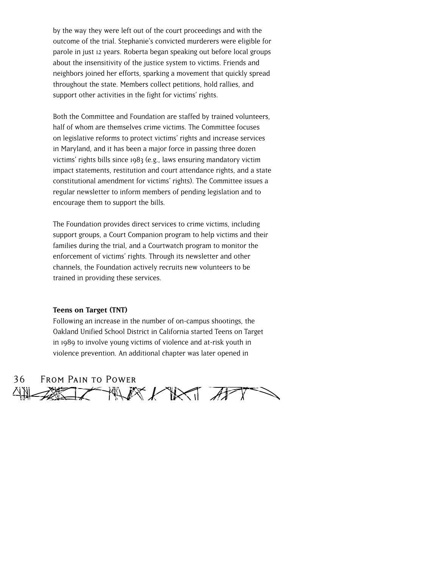by the way they were left out of the court proceedings and with the outcome of the trial. Stephanie's convicted murderers were eligible for parole in just 12 years. Roberta began speaking out before local groups about the insensitivity of the justice system to victims. Friends and neighbors joined her efforts, sparking a movement that quickly spread throughout the state. Members collect petitions, hold rallies, and support other activities in the fight for victims' rights.

Both the Committee and Foundation are staffed by trained volunteers, half of whom are themselves crime victims. The Committee focuses on legislative reforms to protect victims' rights and increase services in Maryland, and it has been a major force in passing three dozen victims' rights bills since 1983 (e.g., laws ensuring mandatory victim impact statements, restitution and court attendance rights, and a state constitutional amendment for victims' rights). The Committee issues a regular newsletter to inform members of pending legislation and to encourage them to support the bills.

The Foundation provides direct services to crime victims, including support groups, a Court Companion program to help victims and their families during the trial, and a Courtwatch program to monitor the enforcement of victims' rights. Through its newsletter and other channels, the Foundation actively recruits new volunteers to be trained in providing these services.

#### **Teens on Target (TNT)**

Following an increase in the number of on-campus shootings, the Oakland Unified School District in California started Teens on Target in 1989 to involve young victims of violence and at-risk youth in violence prevention. An additional chapter was later opened in

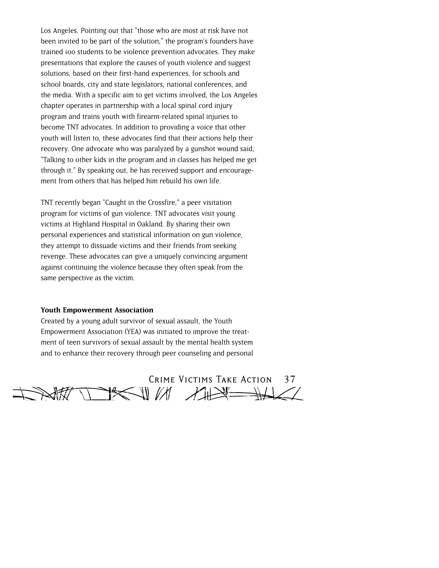Los Angeles. Pointing out that "those who are most at risk have not been invited to be part of the solution," the program's founders have trained 100 students to be violence prevention advocates. They make presentations that explore the causes of youth violence and suggest solutions, based on their first-hand experiences, for schools and school boards, city and state legislators, national conferences, and the media. With a specific aim to get victims involved, the Los Angeles chapter operates in partnership with a local spinal cord injury program and trains youth with firearm-related spinal injuries to become TNT advocates. In addition to providing a voice that other youth will listen to, these advocates find that their actions help their recovery. One advocate who was paralyzed by a gunshot wound said, "Talking to other kids in the program and in classes has helped me get through it." By speaking out, he has received support and encouragement from others that has helped him rebuild his own life.

TNT recently began "Caught in the Crossfire," a peer visitation program for victims of gun violence. TNT advocates visit young victims at Highland Hospital in Oakland. By sharing their own personal experiences and statistical information on gun violence, they attempt to dissuade victims and their friends from seeking revenge. These advocates can give a uniquely convincing argument against continuing the violence because they often speak from the same perspective as the victim.

#### **Youth Empowerment Association**

Created by a young adult survivor of sexual assault, the Youth Empowerment Association (YEA) was initiated to improve the treatment of teen survivors of sexual assault by the mental health system and to enhance their recovery through peer counseling and personal

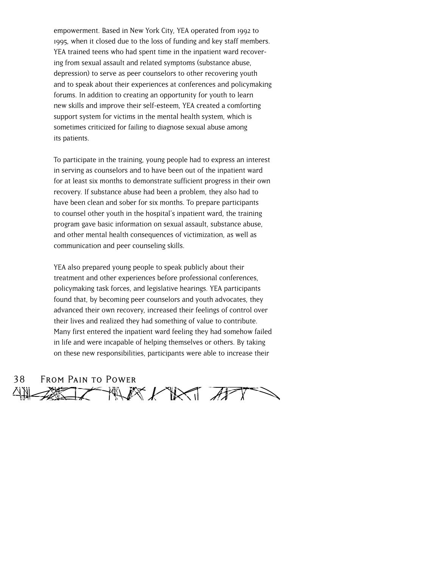empowerment. Based in New York City, YEA operated from 1992 to 1995, when it closed due to the loss of funding and key staff members. YEA trained teens who had spent time in the inpatient ward recovering from sexual assault and related symptoms (substance abuse, depression) to serve as peer counselors to other recovering youth and to speak about their experiences at conferences and policymaking forums. In addition to creating an opportunity for youth to learn new skills and improve their self-esteem, YEA created a comforting support system for victims in the mental health system, which is sometimes criticized for failing to diagnose sexual abuse among its patients.

To participate in the training, young people had to express an interest in serving as counselors and to have been out of the inpatient ward for at least six months to demonstrate sufficient progress in their own recovery. If substance abuse had been a problem, they also had to have been clean and sober for six months. To prepare participants to counsel other youth in the hospital's inpatient ward, the training program gave basic information on sexual assault, substance abuse, and other mental health consequences of victimization, as well as communication and peer counseling skills.

YEA also prepared young people to speak publicly about their treatment and other experiences before professional conferences, policymaking task forces, and legislative hearings. YEA participants found that, by becoming peer counselors and youth advocates, they advanced their own recovery, increased their feelings of control over their lives and realized they had something of value to contribute. Many first entered the inpatient ward feeling they had somehow failed in life and were incapable of helping themselves or others. By taking on these new responsibilities, participants were able to increase their

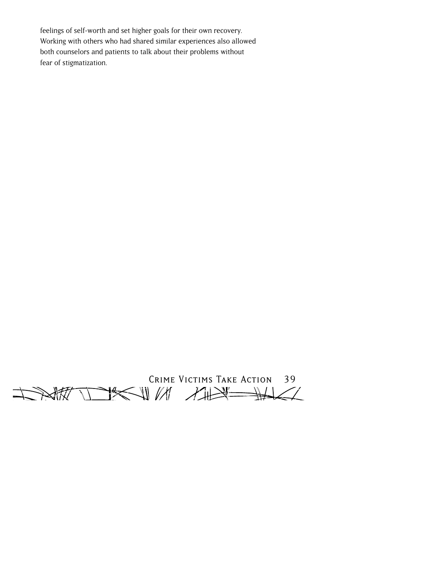feelings of self-worth and set higher goals for their own recovery. Working with others who had shared similar experiences also allowed both counselors and patients to talk about their problems without fear of stigmatization.

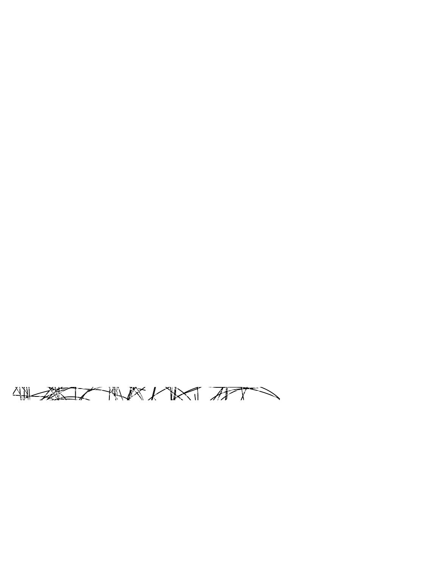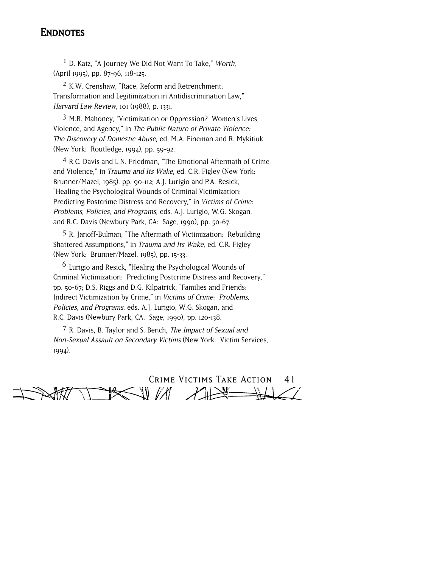## **ENDNOTES**

<sup>I</sup> D. Katz, "A Journey We Did Not Want To Take," Worth, (April 1995), pp. 87-96, 118-125.

 $2$  K.W. Crenshaw. "Race, Reform and Retrenchment: Transformation and Legitimization in Antidiscrimination Law," Harvard Law Review, 101 (1988), p. 1331.

3 M.R. Mahoney, "Victimization or Oppression? Women's Lives, Violence, and Agency," in The Public Nature of Private Violence: The Discovery of Domestic Abuse, ed. M.A. Fineman and R. Mykitiuk (New York: Routledge, 1994), pp. 59-92.

4 R.C. Davis and L.N. Friedman, "The Emotional Aftermath of Crime and Violence," in Trauma and Its Wake, ed. C.R. Figley (New York: Brunner/Mazel, 1985), pp. 90-112; A.J. Lurigio and P.A. Resick, "Healing the Psychological Wounds of Criminal Victimization: Predicting Postcrime Distress and Recovery," in Victims of Crime: Problems, Policies, and Programs, eds. A.J. Lurigio, W.G. Skogan, and R.C. Davis (Newbury Park, CA: Sage, 1990), pp. 50-67.

5 R. Janoff-Bulman, "The Aftermath of Victimization: Rebuilding Shattered Assumptions," in Trauma and Its Wake, ed. C.R. Figley (New York: Brunner/Mazel, 1985), pp. 15-33.

6 Lurigio and Resick, "Healing the Psychological Wounds of Criminal Victimization: Predicting Postcrime Distress and Recovery," pp. 50-67; D.S. Riggs and D.G. Kilpatrick, "Families and Friends: Indirect Victimization by Crime," in Victims of Crime: Problems, Policies, and Programs, eds. A.J. Lurigio, W.G. Skogan, and R.C. Davis (Newbury Park, CA: Sage, 1990), pp. 120-138.

7 R. Davis, B. Taylor and S. Bench, The Impact of Sexual and Non-Sexual Assault on Secondary Victims (New York: Victim Services, 1994).

CRIME VICTIMS TAKE ACTION 41  $\begin{picture}(120,111){\small\bf 1} \put(120,111){\small\bf 1} \put(120,111){\small\bf 1} \put(120,111){\small\bf 1} \put(120,111){\small\bf 1} \put(120,111){\small\bf 1} \put(120,111){\small\bf 1} \put(120,111){\small\bf 1} \put(120,111){\small\bf 1} \put(120,111){\small\bf 1} \put(120,111){\small\bf 1} \put(120,111){\small\bf 1} \put$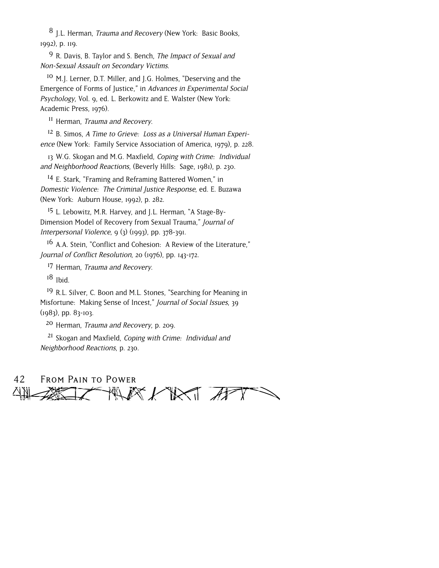8 J.L. Herman, Trauma and Recovery (New York: Basic Books, 1992), p. 119.

9 R. Davis, B. Taylor and S. Bench, The Impact of Sexual and Non-Sexual Assault on Secondary Victims.

<sup>10</sup> M.J. Lerner, D.T. Miller, and J.G. Holmes, "Deserving and the Emergence of Forms of Justice," in Advances in Experimental Social Psychology, Vol. 9, ed. L. Berkowitz and E. Walster (New York: Academic Press, 1976).

11 Herman, Trauma and Recovery.

<sup>12</sup> B. Simos, A Time to Grieve: Loss as a Universal Human Experience (New York: Family Service Association of America, 1979), p. 228.

13 W.G. Skogan and M.G. Maxfield, Coping with Crime: Individual and Neighborhood Reactions, (Beverly Hills: Sage, 1981), p. 230.

14 E. Stark, "Framing and Reframing Battered Women," in Domestic Violence: The Criminal Justice Response, ed. E. Buzawa (New York: Auburn House, 1992), p. 282.

15 L. Lebowitz, M.R. Harvey, and J.L. Herman, "A Stage-By-Dimension Model of Recovery from Sexual Trauma," Journal of Interpersonal Violence,  $9(3)(1993)$ , pp. 378-391.

<sup>16</sup> A.A. Stein. "Conflict and Cohesion: A Review of the Literature," Journal of Conflict Resolution, 20 (1976), pp. 143-172.

<sup>17</sup> Herman, *Trauma and Recovery*.

 $18$  Ibid.

<sup>19</sup> R.L. Silver, C. Boon and M.L. Stones, "Searching for Meaning in Misfortune: Making Sense of Incest," Journal of Social Issues, 39 (1983), pp. 83-103.

20 Herman, Trauma and Recovery, p. 209.

<sup>21</sup> Skogan and Maxfield, Coping with Crime: Individual and Neighborhood Reactions, p. 230.

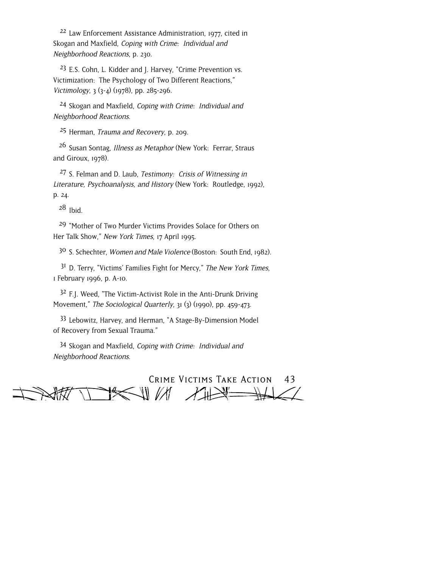22 Law Enforcement Assistance Administration, 1977, cited in Skogan and Maxfield, Coping with Crime: Individual and Neighborhood Reactions, p. 230.

<sup>23</sup> E.S. Cohn, L. Kidder and I. Harvey, "Crime Prevention vs. Victimization: The Psychology of Two Different Reactions," Victimology, 3 (3-4) (1978), pp. 285-296.

<sup>24</sup> Skogan and Maxfield, Coping with Crime: Individual and Neighborhood Reactions.

25 Herman, Trauma and Recovery, p. 209.

26 Susan Sontag, Illness as Metaphor (New York: Ferrar, Straus and Giroux, 1978).

27 S. Felman and D. Laub, Testimony: Crisis of Witnessing in Literature, Psychoanalysis, and History (New York: Routledge, 1992), p. 24.

 $28$  Ibid.

<sup>29</sup> "Mother of Two Murder Victims Provides Solace for Others on Her Talk Show," New York Times, 17 April 1995.

30 S. Schechter, Women and Male Violence (Boston: South End, 1982).

<sup>31</sup> D. Terry, "Victims' Families Fight for Mercy," The New York Times, 1 February 1996, p. A-10.

32 F.J. Weed, "The Victim-Activist Role in the Anti-Drunk Driving Movement," The Sociological Quarterly, 31 (3) (1990), pp. 459-473.

33 Lebowitz, Harvey, and Herman, "A Stage-By-Dimension Model of Recovery from Sexual Trauma."

34 Skogan and Maxfield, Coping with Crime: Individual and Neighborhood Reactions.

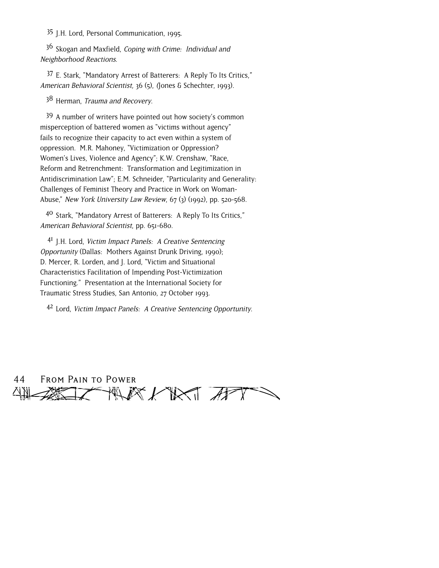35 J.H. Lord, Personal Communication, 1995.

<sup>36</sup> Skogan and Maxfield, *Coping with Crime: Individual and* Neighborhood Reactions.

37 E. Stark, "Mandatory Arrest of Batterers: A Reply To Its Critics," American Behavioral Scientist, 36 (5), (Jones & Schechter, 1993).

38 Herman. Trauma and Recovery.

39 A number of writers have pointed out how society's common misperception of battered women as "victims without agency" fails to recognize their capacity to act even within a system of oppression. M.R. Mahoney, "Victimization or Oppression? Women's Lives, Violence and Agency"; K.W. Crenshaw, "Race, Reform and Retrenchment: Transformation and Legitimization in Antidiscrimination Law"; E.M. Schneider, "Particularity and Generality: Challenges of Feminist Theory and Practice in Work on Woman-Abuse," New York University Law Review,  $67$  (3) (1992), pp. 520-568.

40 Stark, "Mandatory Arrest of Batterers: A Reply To Its Critics," American Behavioral Scientist, pp. 651-680.

41 J.H. Lord, Victim Impact Panels: A Creative Sentencing Opportunity (Dallas: Mothers Against Drunk Driving, 1990); D. Mercer, R. Lorden, and J. Lord, "Victim and Situational Characteristics Facilitation of Impending Post-Victimization Functioning." Presentation at the International Society for Traumatic Stress Studies, San Antonio, 27 October 1993.

42 Lord, Victim Impact Panels: A Creative Sentencing Opportunity.

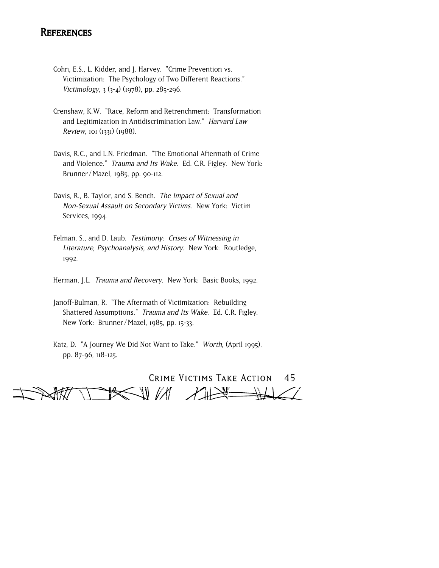## **REFERENCES**

- Cohn, E.S., L. Kidder, and J. Harvey. "Crime Prevention vs. Victimization: The Psychology of Two Different Reactions." Victimology, 3 (3-4) (1978), pp. 285-296.
- Crenshaw, K.W. "Race, Reform and Retrenchment: Transformation and Legitimization in Antidiscrimination Law." Harvard Law Review, 101 (1331) (1988).
- Davis, R.C., and L.N. Friedman. "The Emotional Aftermath of Crime and Violence." Trauma and Its Wake. Ed. C.R. Figley. New York: Brunner/Mazel, 1985, pp. 90-112.
- Davis, R., B. Taylor, and S. Bench. The Impact of Sexual and Non-Sexual Assault on Secondary Victims. New York: Victim Services, 1994.
- Felman, S., and D. Laub. Testimony: Crises of Witnessing in Literature, Psychoanalysis, and History. New York: Routledge, 1992.
- Herman, J.L. Trauma and Recovery. New York: Basic Books, 1992.
- Janoff-Bulman, R. "The Aftermath of Victimization: Rebuilding Shattered Assumptions." Trauma and Its Wake. Ed. C.R. Figley. New York: Brunner/Mazel, 1985, pp. 15-33.
- Katz, D. "A Journey We Did Not Want to Take." Worth, (April 1995), pp. 87-96, 118-125.

CRIME VICTIMS TAKE ACTION 45  $\text{MRT} \setminus \text{M} \text{M} \quad \text{M} \quad \text{M} \quad \text{M} \quad \text{M} \quad \text{M} \quad \text{M} \quad \text{M} \quad \text{M} \quad \text{M} \quad \text{M} \quad \text{M} \quad \text{M} \quad \text{M} \quad \text{M} \quad \text{M} \quad \text{M} \quad \text{M} \quad \text{M} \quad \text{M} \quad \text{M} \quad \text{M} \quad \text{M} \quad \text{M} \quad \text{M} \quad \text{M} \quad \text{M} \quad \text{M} \quad \text{M} \quad \text{$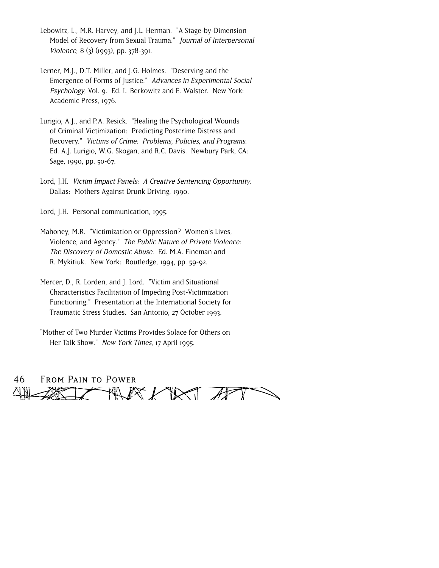- Lebowitz, L., M.R. Harvey, and J.L. Herman. "A Stage-by-Dimension Model of Recovery from Sexual Trauma." Journal of Interpersonal Violence, 8 (3) (1993), pp. 378-391.
- Lerner, M.J., D.T. Miller, and J.G. Holmes. "Deserving and the Emergence of Forms of Justice." Advances in Experimental Social Psychology, Vol. 9. Ed. L. Berkowitz and E. Walster. New York: Academic Press, 1976.
- Lurigio, A.J., and P.A. Resick. "Healing the Psychological Wounds of Criminal Victimization: Predicting Postcrime Distress and Recovery." Victims of Crime: Problems, Policies, and Programs. Ed. A.J. Lurigio, W.G. Skogan, and R.C. Davis. Newbury Park, CA: Sage, 1990, pp. 50-67.
- Lord, J.H. Victim Impact Panels: A Creative Sentencing Opportunity. Dallas: Mothers Against Drunk Driving, 1990.
- Lord, J.H. Personal communication, 1995.
- Mahoney, M.R. "Victimization or Oppression? Women's Lives, Violence, and Agency." The Public Nature of Private Violence: The Discovery of Domestic Abuse. Ed. M.A. Fineman and R. Mykitiuk. New York: Routledge, 1994, pp. 59-92.
- Mercer, D., R. Lorden, and J. Lord. "Victim and Situational Characteristics Facilitation of Impeding Post-Victimization Functioning." Presentation at the International Society for Traumatic Stress Studies. San Antonio, 27 October 1993.
- "Mother of Two Murder Victims Provides Solace for Others on Her Talk Show." New York Times, 17 April 1995.

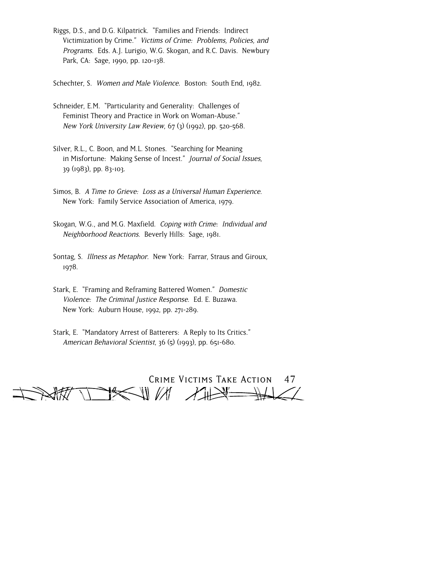Riggs, D.S., and D.G. Kilpatrick. "Families and Friends: Indirect Victimization by Crime." Victims of Crime: Problems, Policies, and Programs. Eds. A.J. Lurigio, W.G. Skogan, and R.C. Davis. Newbury Park, CA: Sage, 1990, pp. 120-138.

Schechter, S. Women and Male Violence. Boston: South End, 1982.

- Schneider, E.M. "Particularity and Generality: Challenges of Feminist Theory and Practice in Work on Woman-Abuse." New York University Law Review,  $67$   $(3)$  (1992), pp. 520-568.
- Silver, R.L., C. Boon, and M.L. Stones. "Searching for Meaning in Misfortune: Making Sense of Incest." Journal of Social Issues, 39 (1983), pp. 83-103.
- Simos, B. A Time to Grieve: Loss as a Universal Human Experience. New York: Family Service Association of America, 1979.
- Skogan, W.G., and M.G. Maxfield. Coping with Crime: Individual and Neighborhood Reactions. Beverly Hills: Sage, 1981.
- Sontag, S. Illness as Metaphor. New York: Farrar, Straus and Giroux, 1978.
- Stark, E. "Framing and Reframing Battered Women." Domestic Violence: The Criminal Justice Response. Ed. E. Buzawa. New York: Auburn House, 1992, pp. 271-289.
- Stark, E. "Mandatory Arrest of Batterers: A Reply to Its Critics." American Behavioral Scientist, 36 (5) (1993), pp. 651-680.

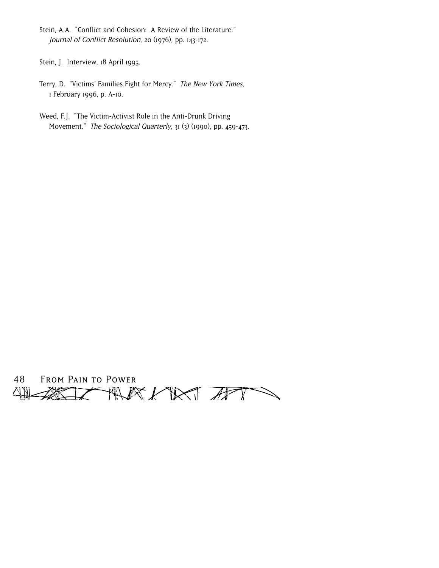- Stein, A.A. "Conflict and Cohesion: A Review of the Literature." Journal of Conflict Resolution, 20 (1976), pp. 143-172.
- Stein, J. Interview, 18 April 1995.
- Terry, D. "Victims' Families Fight for Mercy." The New York Times, 1 February 1996, p. A-10.
- Weed, F.J. "The Victim-Activist Role in the Anti-Drunk Driving Movement." The Sociological Quarterly, 31 (3) (1990), pp. 459-473.